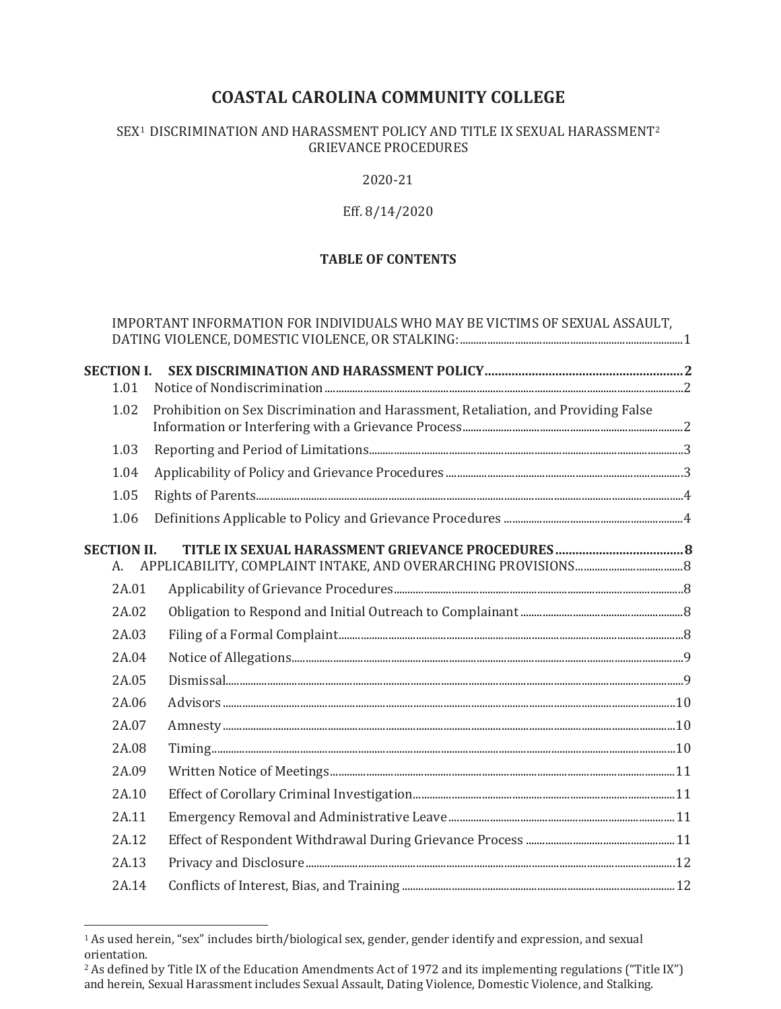# **COASTAL CAROLINA COMMUNITY COLLEGE**

#### SEX<sup>1</sup> DISCRIMINATION AND HARASSMENT POLICY AND TITLE IX SEXUAL HARASSMENT<sup>2</sup> GRIEVANCE PROCEDURES

2020-21

#### Eff. 8/14/2020

## **TABLE OF CONTENTS**

|                           | IMPORTANT INFORMATION FOR INDIVIDUALS WHO MAY BE VICTIMS OF SEXUAL ASSAULT,        |  |
|---------------------------|------------------------------------------------------------------------------------|--|
| <b>SECTION I.</b><br>1.01 |                                                                                    |  |
| 1.02                      | Prohibition on Sex Discrimination and Harassment, Retaliation, and Providing False |  |
| 1.03                      |                                                                                    |  |
| 1.04                      |                                                                                    |  |
| 1.05                      |                                                                                    |  |
| 1.06                      |                                                                                    |  |
| <b>SECTION II.</b><br>А.  |                                                                                    |  |
| 2A.01                     |                                                                                    |  |
| 2A.02                     |                                                                                    |  |
| 2A.03                     |                                                                                    |  |
| 2A.04                     |                                                                                    |  |
| 2A.05                     |                                                                                    |  |
| 2A.06                     |                                                                                    |  |
| 2A.07                     |                                                                                    |  |
| 2A.08                     |                                                                                    |  |
| 2A.09                     |                                                                                    |  |
| 2A.10                     |                                                                                    |  |
| 2A.11                     |                                                                                    |  |
| 2A.12                     |                                                                                    |  |
| 2A.13                     |                                                                                    |  |
| 2A.14                     |                                                                                    |  |

 $\overline{a}$ 

<sup>1</sup> As used herein, "sex" includes birth/biological sex, gender, gender identify and expression, and sexual orientation.

<sup>&</sup>lt;sup>2</sup> As defined by Title IX of the Education Amendments Act of 1972 and its implementing regulations ("Title IX") and herein, Sexual Harassment includes Sexual Assault, Dating Violence, Domestic Violence, and Stalking.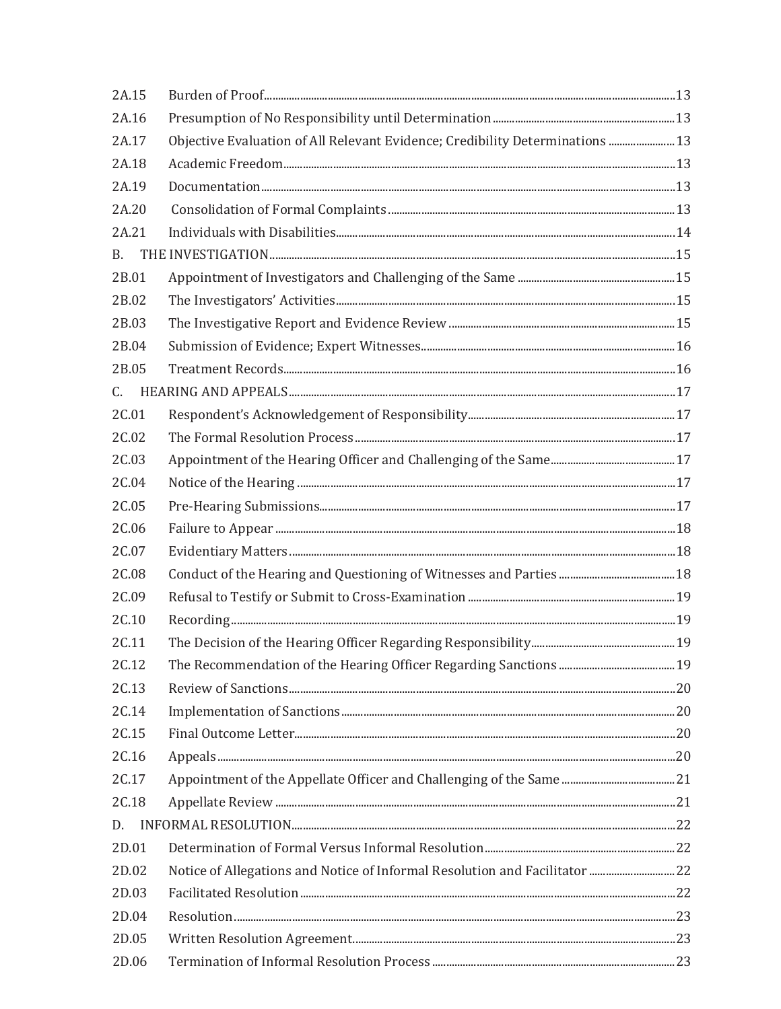| 2A.15 |                                                                               |  |
|-------|-------------------------------------------------------------------------------|--|
| 2A.16 |                                                                               |  |
| 2A.17 | Objective Evaluation of All Relevant Evidence; Credibility Determinations  13 |  |
| 2A.18 |                                                                               |  |
| 2A.19 |                                                                               |  |
| 2A.20 |                                                                               |  |
| 2A.21 |                                                                               |  |
| B.    |                                                                               |  |
| 2B.01 |                                                                               |  |
| 2B.02 |                                                                               |  |
| 2B.03 |                                                                               |  |
| 2B.04 |                                                                               |  |
| 2B.05 |                                                                               |  |
| C.    |                                                                               |  |
| 2C.01 |                                                                               |  |
| 2C.02 |                                                                               |  |
| 2C.03 |                                                                               |  |
| 2C.04 |                                                                               |  |
| 2C.05 |                                                                               |  |
| 2C.06 |                                                                               |  |
| 2C.07 |                                                                               |  |
| 2C.08 |                                                                               |  |
| 2C.09 |                                                                               |  |
| 2C.10 |                                                                               |  |
| 2C.11 |                                                                               |  |
| 2C.12 |                                                                               |  |
| 2C.13 |                                                                               |  |
| 2C.14 |                                                                               |  |
| 2C.15 |                                                                               |  |
| 2C.16 |                                                                               |  |
| 2C.17 |                                                                               |  |
| 2C.18 |                                                                               |  |
| D.    |                                                                               |  |
| 2D.01 |                                                                               |  |
| 2D.02 | Notice of Allegations and Notice of Informal Resolution and Facilitator 22    |  |
| 2D.03 |                                                                               |  |
| 2D.04 |                                                                               |  |
| 2D.05 |                                                                               |  |
| 2D.06 |                                                                               |  |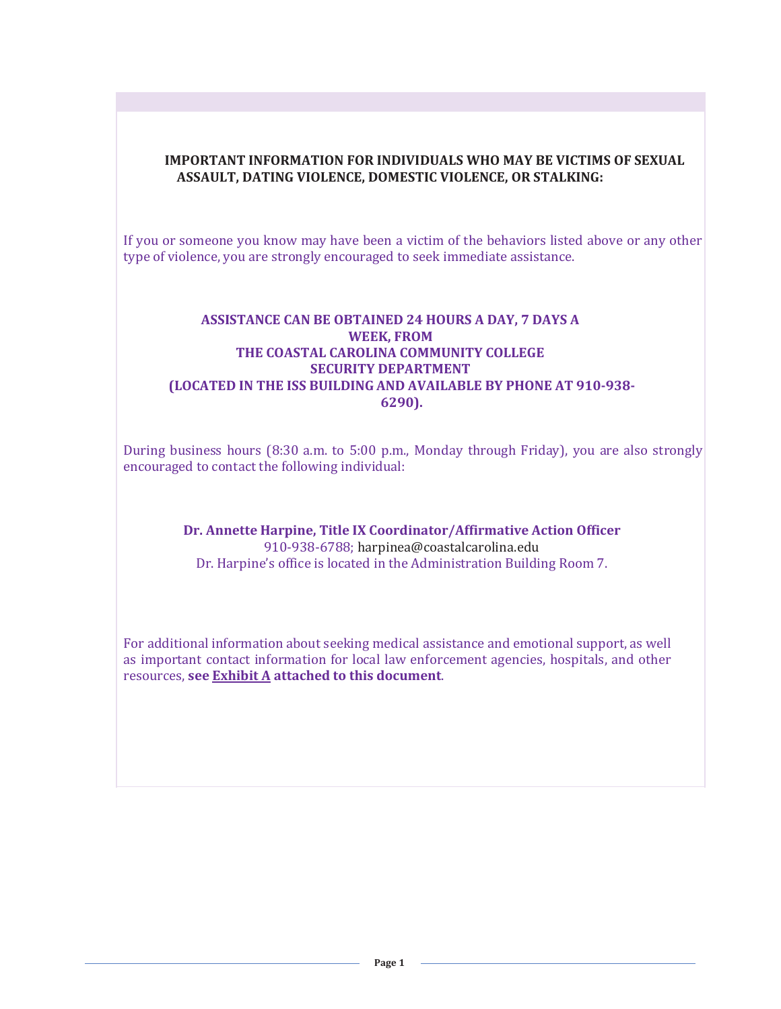#### **IMPORTANT INFORMATION FOR INDIVIDUALS WHO MAY BE VICTIMS OF SEXUAL ASSAULT, DATING VIOLENCE, DOMESTIC VIOLENCE, OR STALKING:**

If you or someone you know may have been a victim of the behaviors listed above or any other type of violence, you are strongly encouraged to seek immediate assistance.

#### **ASSISTANCE CAN BE OBTAINED 24 HOURS A DAY, 7 DAYS A WEEK, FROM THE COASTAL CAROLINA COMMUNITY COLLEGE SECURITY DEPARTMENT (LOCATED IN THE ISS BUILDING AND AVAILABLE BY PHONE AT 910-938- 6290).**

During business hours (8:30 a.m. to 5:00 p.m., Monday through Friday), you are also strongly encouraged to contact the following individual:

> **Dr. Annette Harpine, Title IX Coordinator/Affirmative Action Officer**  910-938-6788; harpinea@coastalcarolina.edu Dr. Harpine's office is located in the Administration Building Room 7.

For additional information about seeking medical assistance and emotional support, as well as important contact information for local law enforcement agencies, hospitals, and other resources, **see Exhibit A attached to this document**.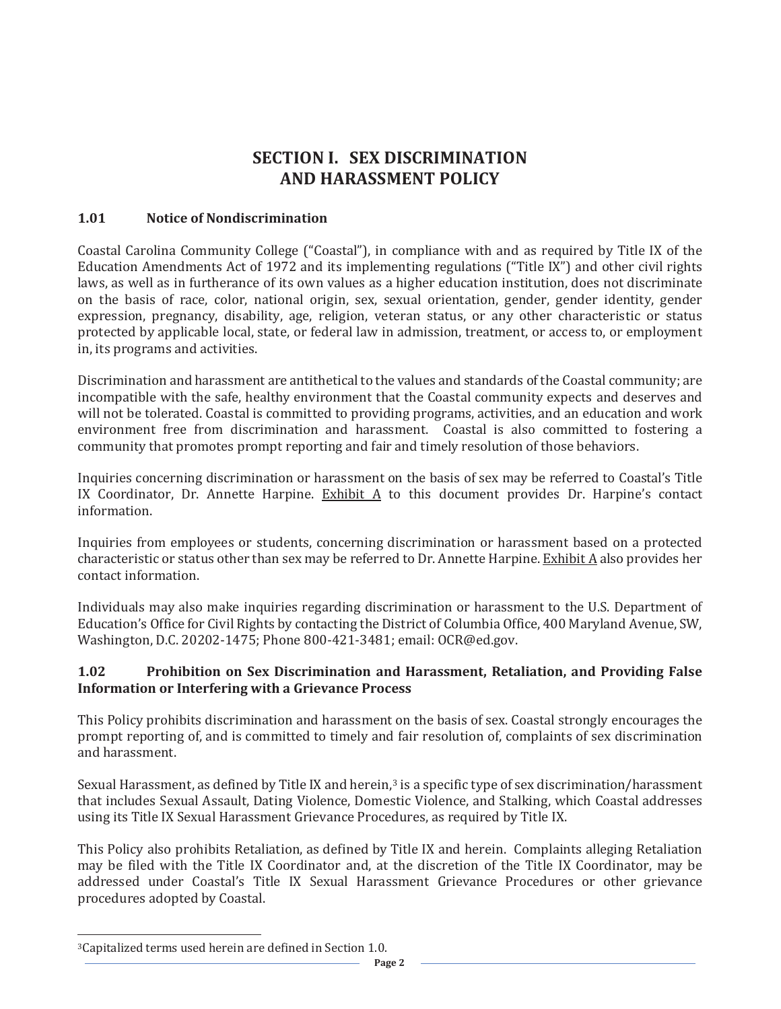# **SECTION I. SEX DISCRIMINATION AND HARASSMENT POLICY**

#### **1.01 Notice of Nondiscrimination**

Coastal Carolina Community College ("Coastal"), in compliance with and as required by Title IX of the Education Amendments Act of 1972 and its implementing regulations ("Title IX") and other civil rights laws, as well as in furtherance of its own values as a higher education institution, does not discriminate on the basis of race, color, national origin, sex, sexual orientation, gender, gender identity, gender expression, pregnancy, disability, age, religion, veteran status, or any other characteristic or status protected by applicable local, state, or federal law in admission, treatment, or access to, or employment in, its programs and activities.

Discrimination and harassment are antithetical to the values and standards of the Coastal community; are incompatible with the safe, healthy environment that the Coastal community expects and deserves and will not be tolerated. Coastal is committed to providing programs, activities, and an education and work environment free from discrimination and harassment. Coastal is also committed to fostering a community that promotes prompt reporting and fair and timely resolution of those behaviors.

Inquiries concerning discrimination or harassment on the basis of sex may be referred to Coastal's Title IX Coordinator, Dr. Annette Harpine. Exhibit A to this document provides Dr. Harpine's contact information.

Inquiries from employees or students, concerning discrimination or harassment based on a protected characteristic or status other than sex may be referred to Dr. Annette Harpine. Exhibit A also provides her contact information.

Individuals may also make inquiries regarding discrimination or harassment to the U.S. Department of Education's Office for Civil Rights by contacting the District of Columbia Office, 400 Maryland Avenue, SW, Washington, D.C. 20202-1475; Phone 800-421-3481; email: OCR@ed.gov.

#### **1.02 Prohibition on Sex Discrimination and Harassment, Retaliation, and Providing False Information or Interfering with a Grievance Process**

This Policy prohibits discrimination and harassment on the basis of sex. Coastal strongly encourages the prompt reporting of, and is committed to timely and fair resolution of, complaints of sex discrimination and harassment.

Sexual Harassment, as defined by Title IX and herein,<sup>3</sup> is a specific type of sex discrimination/harassment that includes Sexual Assault, Dating Violence, Domestic Violence, and Stalking, which Coastal addresses using its Title IX Sexual Harassment Grievance Procedures, as required by Title IX.

This Policy also prohibits Retaliation, as defined by Title IX and herein. Complaints alleging Retaliation may be filed with the Title IX Coordinator and, at the discretion of the Title IX Coordinator, may be addressed under Coastal's Title IX Sexual Harassment Grievance Procedures or other grievance procedures adopted by Coastal.

 $\overline{a}$ 

<sup>3</sup>Capitalized terms used herein are defined in Section 1.0.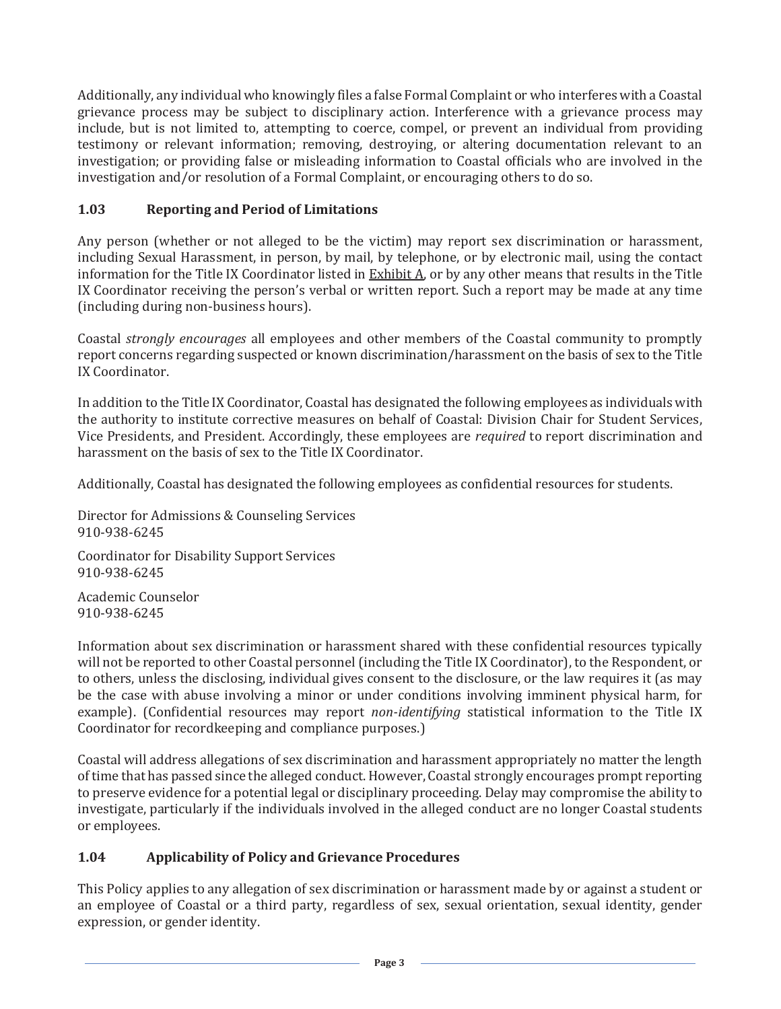Additionally, any individual who knowingly files a false Formal Complaint or who interferes with a Coastal grievance process may be subject to disciplinary action. Interference with a grievance process may include, but is not limited to, attempting to coerce, compel, or prevent an individual from providing testimony or relevant information; removing, destroying, or altering documentation relevant to an investigation; or providing false or misleading information to Coastal officials who are involved in the investigation and/or resolution of a Formal Complaint, or encouraging others to do so.

## **1.03 Reporting and Period of Limitations**

Any person (whether or not alleged to be the victim) may report sex discrimination or harassment, including Sexual Harassment, in person, by mail, by telephone, or by electronic mail, using the contact information for the Title IX Coordinator listed in Exhibit A, or by any other means that results in the Title IX Coordinator receiving the person's verbal or written report. Such a report may be made at any time (including during non-business hours).

Coastal *strongly encourages* all employees and other members of the Coastal community to promptly report concerns regarding suspected or known discrimination/harassment on the basis of sex to the Title IX Coordinator.

In addition to the Title IX Coordinator, Coastal has designated the following employees as individuals with the authority to institute corrective measures on behalf of Coastal: Division Chair for Student Services, Vice Presidents, and President. Accordingly, these employees are *required* to report discrimination and harassment on the basis of sex to the Title IX Coordinator.

Additionally, Coastal has designated the following employees as confidential resources for students.

Director for Admissions & Counseling Services 910-938-6245

Coordinator for Disability Support Services 910-938-6245

Academic Counselor 910-938-6245

Information about sex discrimination or harassment shared with these confidential resources typically will not be reported to other Coastal personnel (including the Title IX Coordinator), to the Respondent, or to others, unless the disclosing, individual gives consent to the disclosure, or the law requires it (as may be the case with abuse involving a minor or under conditions involving imminent physical harm, for example). (Confidential resources may report *non-identifying* statistical information to the Title IX Coordinator for recordkeeping and compliance purposes.)

Coastal will address allegations of sex discrimination and harassment appropriately no matter the length of time that has passed since the alleged conduct. However, Coastal strongly encourages prompt reporting to preserve evidence for a potential legal or disciplinary proceeding. Delay may compromise the ability to investigate, particularly if the individuals involved in the alleged conduct are no longer Coastal students or employees.

## **1.04 Applicability of Policy and Grievance Procedures**

This Policy applies to any allegation of sex discrimination or harassment made by or against a student or an employee of Coastal or a third party, regardless of sex, sexual orientation, sexual identity, gender expression, or gender identity.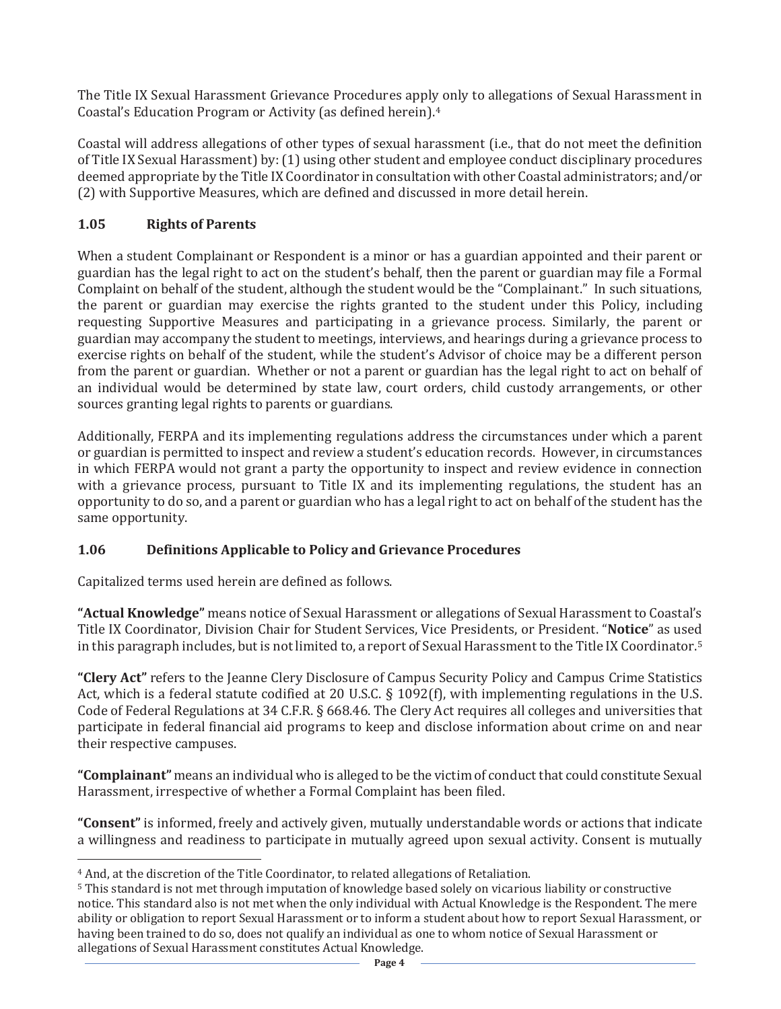The Title IX Sexual Harassment Grievance Procedures apply only to allegations of Sexual Harassment in Coastal's Education Program or Activity (as defined herein).4

Coastal will address allegations of other types of sexual harassment (i.e., that do not meet the definition of Title IX Sexual Harassment) by: (1) using other student and employee conduct disciplinary procedures deemed appropriate by the Title IX Coordinator in consultation with other Coastal administrators; and/or (2) with Supportive Measures, which are defined and discussed in more detail herein.

## **1.05 Rights of Parents**

When a student Complainant or Respondent is a minor or has a guardian appointed and their parent or guardian has the legal right to act on the student's behalf, then the parent or guardian may file a Formal Complaint on behalf of the student, although the student would be the "Complainant." In such situations, the parent or guardian may exercise the rights granted to the student under this Policy, including requesting Supportive Measures and participating in a grievance process. Similarly, the parent or guardian may accompany the student to meetings, interviews, and hearings during a grievance process to exercise rights on behalf of the student, while the student's Advisor of choice may be a different person from the parent or guardian. Whether or not a parent or guardian has the legal right to act on behalf of an individual would be determined by state law, court orders, child custody arrangements, or other sources granting legal rights to parents or guardians.

Additionally, FERPA and its implementing regulations address the circumstances under which a parent or guardian is permitted to inspect and review a student's education records. However, in circumstances in which FERPA would not grant a party the opportunity to inspect and review evidence in connection with a grievance process, pursuant to Title IX and its implementing regulations, the student has an opportunity to do so, and a parent or guardian who has a legal right to act on behalf of the student has the same opportunity.

## **1.06 Definitions Applicable to Policy and Grievance Procedures**

Capitalized terms used herein are defined as follows.

 $\overline{a}$ 

**"Actual Knowledge"** means notice of Sexual Harassment or allegations of Sexual Harassment to Coastal's Title IX Coordinator, Division Chair for Student Services, Vice Presidents, or President. "**Notice**" as used in this paragraph includes, but is not limited to, a report of Sexual Harassment to the Title IX Coordinator.5

**"Clery Act"** refers to the Jeanne Clery Disclosure of Campus Security Policy and Campus Crime Statistics Act, which is a federal statute codified at 20 U.S.C. § 1092(f), with implementing regulations in the U.S. Code of Federal Regulations at 34 C.F.R. § 668.46. The Clery Act requires all colleges and universities that participate in federal financial aid programs to keep and disclose information about crime on and near their respective campuses.

**"Complainant"** means an individual who is alleged to be the victim of conduct that could constitute Sexual Harassment, irrespective of whether a Formal Complaint has been filed.

**"Consent"** is informed, freely and actively given, mutually understandable words or actions that indicate a willingness and readiness to participate in mutually agreed upon sexual activity. Consent is mutually

<sup>4</sup> And, at the discretion of the Title Coordinator, to related allegations of Retaliation.

<sup>5</sup> This standard is not met through imputation of knowledge based solely on vicarious liability or constructive notice. This standard also is not met when the only individual with Actual Knowledge is the Respondent. The mere ability or obligation to report Sexual Harassment or to inform a student about how to report Sexual Harassment, or having been trained to do so, does not qualify an individual as one to whom notice of Sexual Harassment or allegations of Sexual Harassment constitutes Actual Knowledge.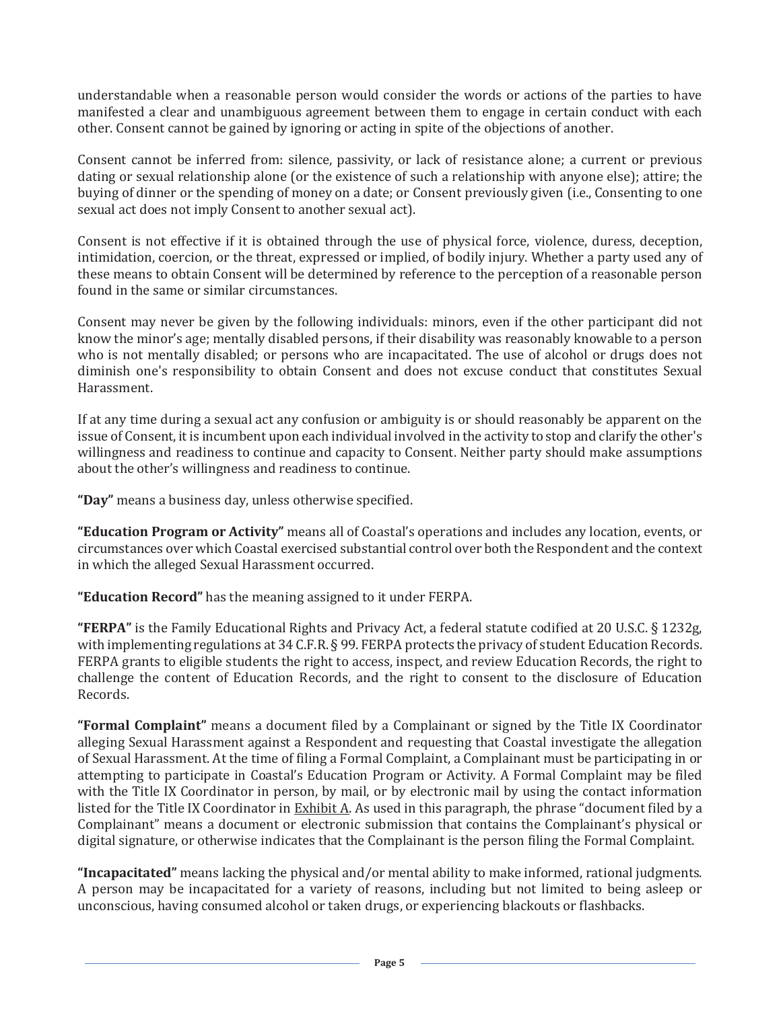understandable when a reasonable person would consider the words or actions of the parties to have manifested a clear and unambiguous agreement between them to engage in certain conduct with each other. Consent cannot be gained by ignoring or acting in spite of the objections of another.

Consent cannot be inferred from: silence, passivity, or lack of resistance alone; a current or previous dating or sexual relationship alone (or the existence of such a relationship with anyone else); attire; the buying of dinner or the spending of money on a date; or Consent previously given (i.e., Consenting to one sexual act does not imply Consent to another sexual act).

Consent is not effective if it is obtained through the use of physical force, violence, duress, deception, intimidation, coercion, or the threat, expressed or implied, of bodily injury. Whether a party used any of these means to obtain Consent will be determined by reference to the perception of a reasonable person found in the same or similar circumstances.

Consent may never be given by the following individuals: minors, even if the other participant did not know the minor's age; mentally disabled persons, if their disability was reasonably knowable to a person who is not mentally disabled; or persons who are incapacitated. The use of alcohol or drugs does not diminish one's responsibility to obtain Consent and does not excuse conduct that constitutes Sexual Harassment.

If at any time during a sexual act any confusion or ambiguity is or should reasonably be apparent on the issue of Consent, it is incumbent upon each individual involved in the activity to stop and clarify the other's willingness and readiness to continue and capacity to Consent. Neither party should make assumptions about the other's willingness and readiness to continue.

**"Day"** means a business day, unless otherwise specified.

**"Education Program or Activity"** means all of Coastal's operations and includes any location, events, or circumstances over which Coastal exercised substantial control over both the Respondent and the context in which the alleged Sexual Harassment occurred.

**"Education Record"** has the meaning assigned to it under FERPA.

**"FERPA"** is the Family Educational Rights and Privacy Act, a federal statute codified at 20 U.S.C. § 1232g, with implementing regulations at 34 C.F.R. § 99. FERPA protects the privacy of student Education Records. FERPA grants to eligible students the right to access, inspect, and review Education Records, the right to challenge the content of Education Records, and the right to consent to the disclosure of Education Records.

**"Formal Complaint"** means a document filed by a Complainant or signed by the Title IX Coordinator alleging Sexual Harassment against a Respondent and requesting that Coastal investigate the allegation of Sexual Harassment. At the time of filing a Formal Complaint, a Complainant must be participating in or attempting to participate in Coastal's Education Program or Activity. A Formal Complaint may be filed with the Title IX Coordinator in person, by mail, or by electronic mail by using the contact information listed for the Title IX Coordinator in Exhibit A. As used in this paragraph, the phrase "document filed by a Complainant" means a document or electronic submission that contains the Complainant's physical or digital signature, or otherwise indicates that the Complainant is the person filing the Formal Complaint.

**"Incapacitated"** means lacking the physical and/or mental ability to make informed, rational judgments. A person may be incapacitated for a variety of reasons, including but not limited to being asleep or unconscious, having consumed alcohol or taken drugs, or experiencing blackouts or flashbacks.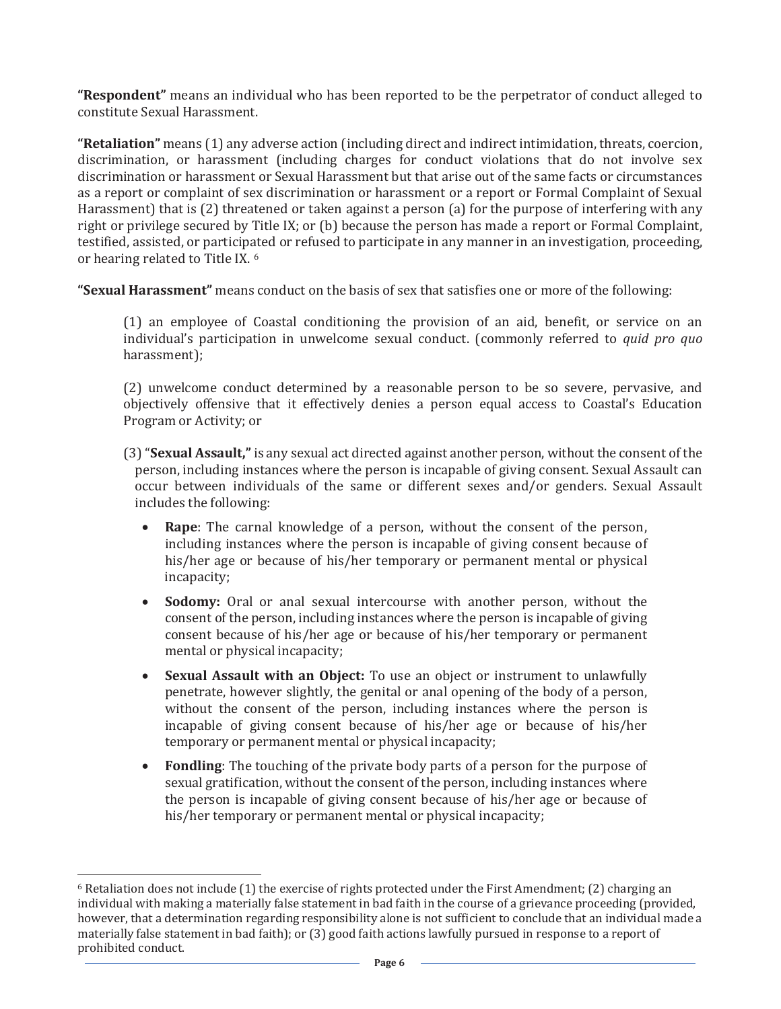**"Respondent"** means an individual who has been reported to be the perpetrator of conduct alleged to constitute Sexual Harassment.

**"Retaliation"** means (1) any adverse action (including direct and indirect intimidation, threats, coercion, discrimination, or harassment (including charges for conduct violations that do not involve sex discrimination or harassment or Sexual Harassment but that arise out of the same facts or circumstances as a report or complaint of sex discrimination or harassment or a report or Formal Complaint of Sexual Harassment) that is (2) threatened or taken against a person (a) for the purpose of interfering with any right or privilege secured by Title IX; or (b) because the person has made a report or Formal Complaint, testified, assisted, or participated or refused to participate in any manner in an investigation, proceeding, or hearing related to Title IX. 6

**"Sexual Harassment"** means conduct on the basis of sex that satisfies one or more of the following:

(1) an employee of Coastal conditioning the provision of an aid, benefit, or service on an individual's participation in unwelcome sexual conduct. (commonly referred to *quid pro quo* harassment);

(2) unwelcome conduct determined by a reasonable person to be so severe, pervasive, and objectively offensive that it effectively denies a person equal access to Coastal's Education Program or Activity; or

(3) "**Sexual Assault,"** is any sexual act directed against another person, without the consent of the person, including instances where the person is incapable of giving consent. Sexual Assault can occur between individuals of the same or different sexes and/or genders. Sexual Assault includes the following:

- x **Rape**: The carnal knowledge of a person, without the consent of the person, including instances where the person is incapable of giving consent because of his/her age or because of his/her temporary or permanent mental or physical incapacity;
- **Sodomy:** Oral or anal sexual intercourse with another person, without the consent of the person, including instances where the person is incapable of giving consent because of his/her age or because of his/her temporary or permanent mental or physical incapacity;
- **Sexual Assault with an Object:** To use an object or instrument to unlawfully penetrate, however slightly, the genital or anal opening of the body of a person, without the consent of the person, including instances where the person is incapable of giving consent because of his/her age or because of his/her temporary or permanent mental or physical incapacity;
- **Fondling**: The touching of the private body parts of a person for the purpose of sexual gratification, without the consent of the person, including instances where the person is incapable of giving consent because of his/her age or because of his/her temporary or permanent mental or physical incapacity;

 $\overline{a}$ 

 $6$  Retaliation does not include (1) the exercise of rights protected under the First Amendment; (2) charging an individual with making a materially false statement in bad faith in the course of a grievance proceeding (provided, however, that a determination regarding responsibility alone is not sufficient to conclude that an individual made a materially false statement in bad faith); or (3) good faith actions lawfully pursued in response to a report of prohibited conduct.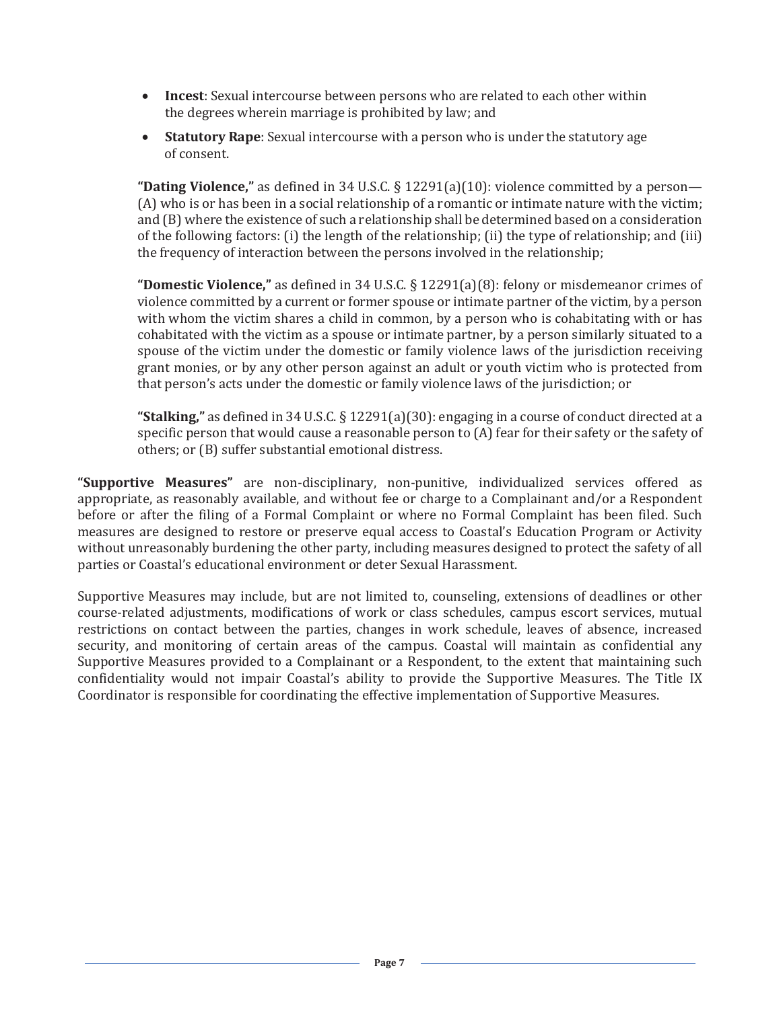- **Incest**: Sexual intercourse between persons who are related to each other within the degrees wherein marriage is prohibited by law; and
- **Statutory Rape**: Sexual intercourse with a person who is under the statutory age of consent.

**"Dating Violence,"** as defined in 34 U.S.C. § 12291(a)(10): violence committed by a person— (A) who is or has been in a social relationship of a romantic or intimate nature with the victim; and (B) where the existence of such a relationship shall be determined based on a consideration of the following factors: (i) the length of the relationship; (ii) the type of relationship; and (iii) the frequency of interaction between the persons involved in the relationship;

**"Domestic Violence,"** as defined in 34 U.S.C. § 12291(a)(8): felony or misdemeanor crimes of violence committed by a current or former spouse or intimate partner of the victim, by a person with whom the victim shares a child in common, by a person who is cohabitating with or has cohabitated with the victim as a spouse or intimate partner, by a person similarly situated to a spouse of the victim under the domestic or family violence laws of the jurisdiction receiving grant monies, or by any other person against an adult or youth victim who is protected from that person's acts under the domestic or family violence laws of the jurisdiction; or

**"Stalking,"** as defined in 34 U.S.C. § 12291(a)(30): engaging in a course of conduct directed at a specific person that would cause a reasonable person to (A) fear for their safety or the safety of others; or (B) suffer substantial emotional distress.

**"Supportive Measures"** are non-disciplinary, non-punitive, individualized services offered as appropriate, as reasonably available, and without fee or charge to a Complainant and/or a Respondent before or after the filing of a Formal Complaint or where no Formal Complaint has been filed. Such measures are designed to restore or preserve equal access to Coastal's Education Program or Activity without unreasonably burdening the other party, including measures designed to protect the safety of all parties or Coastal's educational environment or deter Sexual Harassment.

Supportive Measures may include, but are not limited to, counseling, extensions of deadlines or other course-related adjustments, modifications of work or class schedules, campus escort services, mutual restrictions on contact between the parties, changes in work schedule, leaves of absence, increased security, and monitoring of certain areas of the campus. Coastal will maintain as confidential any Supportive Measures provided to a Complainant or a Respondent, to the extent that maintaining such confidentiality would not impair Coastal's ability to provide the Supportive Measures. The Title IX Coordinator is responsible for coordinating the effective implementation of Supportive Measures.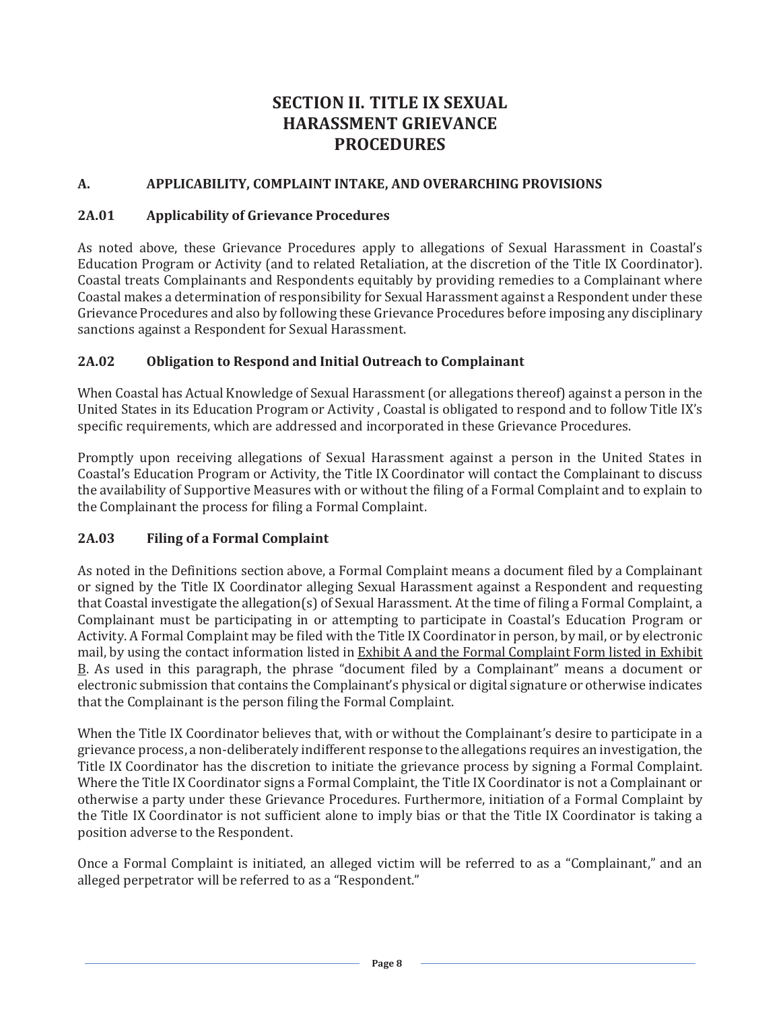# **SECTION II. TITLE IX SEXUAL HARASSMENT GRIEVANCE PROCEDURES**

#### **A. APPLICABILITY, COMPLAINT INTAKE, AND OVERARCHING PROVISIONS**

#### **2A.01 Applicability of Grievance Procedures**

As noted above, these Grievance Procedures apply to allegations of Sexual Harassment in Coastal's Education Program or Activity (and to related Retaliation, at the discretion of the Title IX Coordinator). Coastal treats Complainants and Respondents equitably by providing remedies to a Complainant where Coastal makes a determination of responsibility for Sexual Harassment against a Respondent under these Grievance Procedures and also by following these Grievance Procedures before imposing any disciplinary sanctions against a Respondent for Sexual Harassment.

#### **2A.02 Obligation to Respond and Initial Outreach to Complainant**

When Coastal has Actual Knowledge of Sexual Harassment (or allegations thereof) against a person in the United States in its Education Program or Activity , Coastal is obligated to respond and to follow Title IX's specific requirements, which are addressed and incorporated in these Grievance Procedures.

Promptly upon receiving allegations of Sexual Harassment against a person in the United States in Coastal's Education Program or Activity, the Title IX Coordinator will contact the Complainant to discuss the availability of Supportive Measures with or without the filing of a Formal Complaint and to explain to the Complainant the process for filing a Formal Complaint.

#### **2A.03 Filing of a Formal Complaint**

As noted in the Definitions section above, a Formal Complaint means a document filed by a Complainant or signed by the Title IX Coordinator alleging Sexual Harassment against a Respondent and requesting that Coastal investigate the allegation(s) of Sexual Harassment. At the time of filing a Formal Complaint, a Complainant must be participating in or attempting to participate in Coastal's Education Program or Activity. A Formal Complaint may be filed with the Title IX Coordinator in person, by mail, or by electronic mail, by using the contact information listed in Exhibit A and the Formal Complaint Form listed in Exhibit B. As used in this paragraph, the phrase "document filed by a Complainant" means a document or electronic submission that contains the Complainant's physical or digital signature or otherwise indicates that the Complainant is the person filing the Formal Complaint.

When the Title IX Coordinator believes that, with or without the Complainant's desire to participate in a grievance process, a non-deliberately indifferent response to the allegations requires an investigation, the Title IX Coordinator has the discretion to initiate the grievance process by signing a Formal Complaint. Where the Title IX Coordinator signs a Formal Complaint, the Title IX Coordinator is not a Complainant or otherwise a party under these Grievance Procedures. Furthermore, initiation of a Formal Complaint by the Title IX Coordinator is not sufficient alone to imply bias or that the Title IX Coordinator is taking a position adverse to the Respondent.

Once a Formal Complaint is initiated, an alleged victim will be referred to as a "Complainant," and an alleged perpetrator will be referred to as a "Respondent."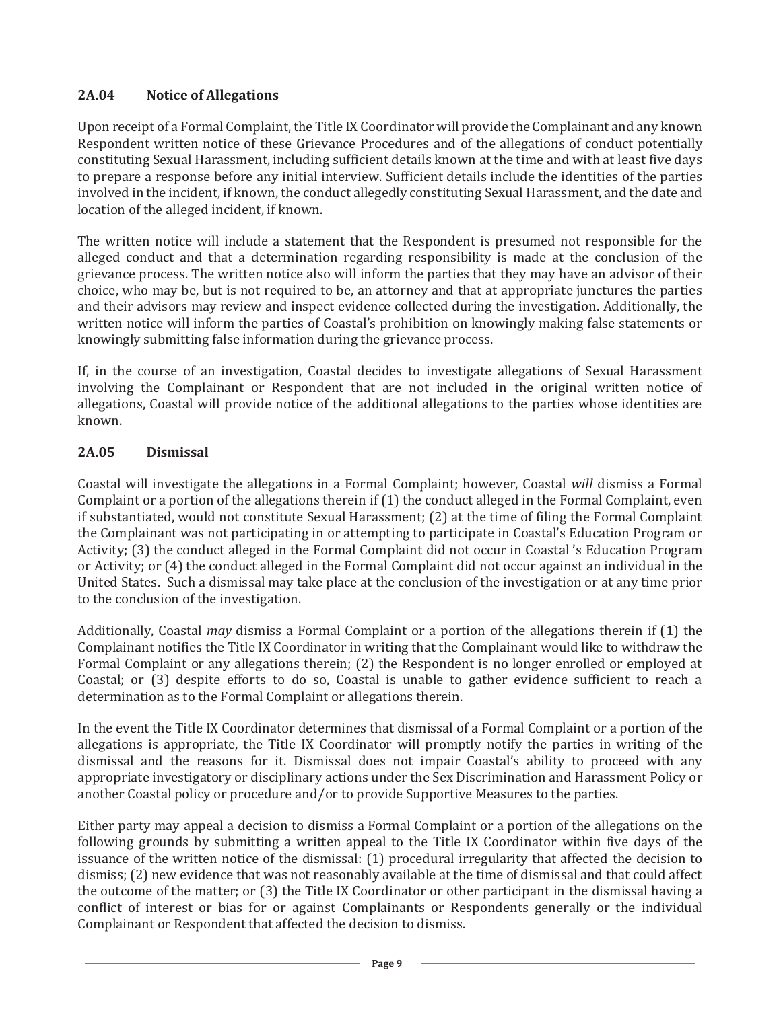## **2A.04 Notice of Allegations**

Upon receipt of a Formal Complaint, the Title IX Coordinator will provide the Complainant and any known Respondent written notice of these Grievance Procedures and of the allegations of conduct potentially constituting Sexual Harassment, including sufficient details known at the time and with at least five days to prepare a response before any initial interview. Sufficient details include the identities of the parties involved in the incident, if known, the conduct allegedly constituting Sexual Harassment, and the date and location of the alleged incident, if known.

The written notice will include a statement that the Respondent is presumed not responsible for the alleged conduct and that a determination regarding responsibility is made at the conclusion of the grievance process. The written notice also will inform the parties that they may have an advisor of their choice, who may be, but is not required to be, an attorney and that at appropriate junctures the parties and their advisors may review and inspect evidence collected during the investigation. Additionally, the written notice will inform the parties of Coastal's prohibition on knowingly making false statements or knowingly submitting false information during the grievance process.

If, in the course of an investigation, Coastal decides to investigate allegations of Sexual Harassment involving the Complainant or Respondent that are not included in the original written notice of allegations, Coastal will provide notice of the additional allegations to the parties whose identities are known.

### **2A.05 Dismissal**

Coastal will investigate the allegations in a Formal Complaint; however, Coastal *will* dismiss a Formal Complaint or a portion of the allegations therein if (1) the conduct alleged in the Formal Complaint, even if substantiated, would not constitute Sexual Harassment; (2) at the time of filing the Formal Complaint the Complainant was not participating in or attempting to participate in Coastal's Education Program or Activity; (3) the conduct alleged in the Formal Complaint did not occur in Coastal 's Education Program or Activity; or (4) the conduct alleged in the Formal Complaint did not occur against an individual in the United States. Such a dismissal may take place at the conclusion of the investigation or at any time prior to the conclusion of the investigation.

Additionally, Coastal *may* dismiss a Formal Complaint or a portion of the allegations therein if (1) the Complainant notifies the Title IX Coordinator in writing that the Complainant would like to withdraw the Formal Complaint or any allegations therein; (2) the Respondent is no longer enrolled or employed at Coastal; or (3) despite efforts to do so, Coastal is unable to gather evidence sufficient to reach a determination as to the Formal Complaint or allegations therein.

In the event the Title IX Coordinator determines that dismissal of a Formal Complaint or a portion of the allegations is appropriate, the Title IX Coordinator will promptly notify the parties in writing of the dismissal and the reasons for it. Dismissal does not impair Coastal's ability to proceed with any appropriate investigatory or disciplinary actions under the Sex Discrimination and Harassment Policy or another Coastal policy or procedure and/or to provide Supportive Measures to the parties.

Either party may appeal a decision to dismiss a Formal Complaint or a portion of the allegations on the following grounds by submitting a written appeal to the Title IX Coordinator within five days of the issuance of the written notice of the dismissal: (1) procedural irregularity that affected the decision to dismiss; (2) new evidence that was not reasonably available at the time of dismissal and that could affect the outcome of the matter; or (3) the Title IX Coordinator or other participant in the dismissal having a conflict of interest or bias for or against Complainants or Respondents generally or the individual Complainant or Respondent that affected the decision to dismiss.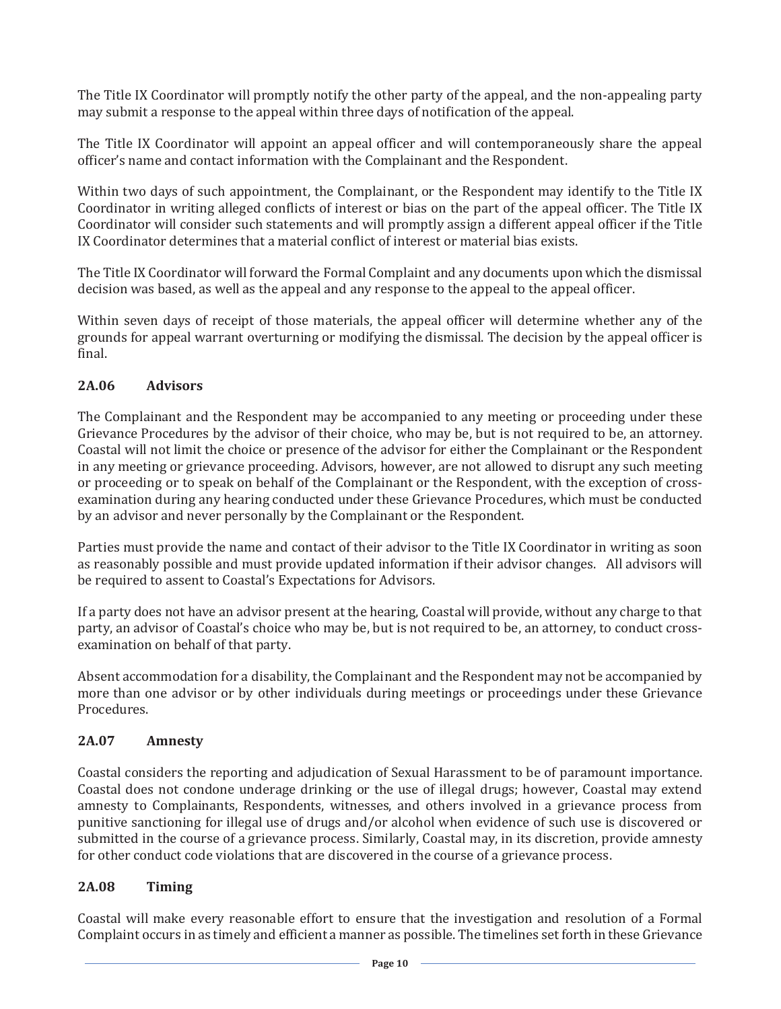The Title IX Coordinator will promptly notify the other party of the appeal, and the non-appealing party may submit a response to the appeal within three days of notification of the appeal.

The Title IX Coordinator will appoint an appeal officer and will contemporaneously share the appeal officer's name and contact information with the Complainant and the Respondent.

Within two days of such appointment, the Complainant, or the Respondent may identify to the Title IX Coordinator in writing alleged conflicts of interest or bias on the part of the appeal officer. The Title IX Coordinator will consider such statements and will promptly assign a different appeal officer if the Title IX Coordinator determines that a material conflict of interest or material bias exists.

The Title IX Coordinator will forward the Formal Complaint and any documents upon which the dismissal decision was based, as well as the appeal and any response to the appeal to the appeal officer.

Within seven days of receipt of those materials, the appeal officer will determine whether any of the grounds for appeal warrant overturning or modifying the dismissal. The decision by the appeal officer is final.

### **2A.06 Advisors**

The Complainant and the Respondent may be accompanied to any meeting or proceeding under these Grievance Procedures by the advisor of their choice, who may be, but is not required to be, an attorney. Coastal will not limit the choice or presence of the advisor for either the Complainant or the Respondent in any meeting or grievance proceeding. Advisors, however, are not allowed to disrupt any such meeting or proceeding or to speak on behalf of the Complainant or the Respondent, with the exception of crossexamination during any hearing conducted under these Grievance Procedures, which must be conducted by an advisor and never personally by the Complainant or the Respondent.

Parties must provide the name and contact of their advisor to the Title IX Coordinator in writing as soon as reasonably possible and must provide updated information if their advisor changes. All advisors will be required to assent to Coastal's Expectations for Advisors.

If a party does not have an advisor present at the hearing, Coastal will provide, without any charge to that party, an advisor of Coastal's choice who may be, but is not required to be, an attorney, to conduct crossexamination on behalf of that party.

Absent accommodation for a disability, the Complainant and the Respondent may not be accompanied by more than one advisor or by other individuals during meetings or proceedings under these Grievance Procedures.

#### **2A.07 Amnesty**

Coastal considers the reporting and adjudication of Sexual Harassment to be of paramount importance. Coastal does not condone underage drinking or the use of illegal drugs; however, Coastal may extend amnesty to Complainants, Respondents, witnesses, and others involved in a grievance process from punitive sanctioning for illegal use of drugs and/or alcohol when evidence of such use is discovered or submitted in the course of a grievance process. Similarly, Coastal may, in its discretion, provide amnesty for other conduct code violations that are discovered in the course of a grievance process.

### **2A.08 Timing**

Coastal will make every reasonable effort to ensure that the investigation and resolution of a Formal Complaint occurs in as timely and efficient a manner as possible. The timelines set forth in these Grievance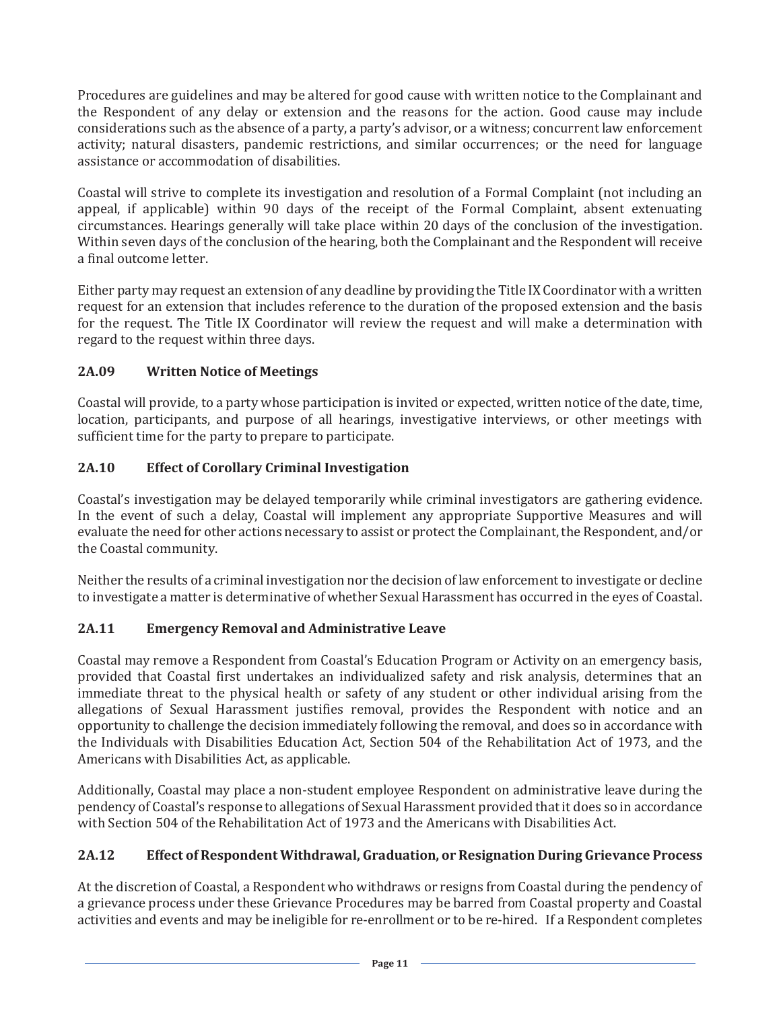Procedures are guidelines and may be altered for good cause with written notice to the Complainant and the Respondent of any delay or extension and the reasons for the action. Good cause may include considerations such as the absence of a party, a party's advisor, or a witness; concurrent law enforcement activity; natural disasters, pandemic restrictions, and similar occurrences; or the need for language assistance or accommodation of disabilities.

Coastal will strive to complete its investigation and resolution of a Formal Complaint (not including an appeal, if applicable) within 90 days of the receipt of the Formal Complaint, absent extenuating circumstances. Hearings generally will take place within 20 days of the conclusion of the investigation. Within seven days of the conclusion of the hearing, both the Complainant and the Respondent will receive a final outcome letter.

Either party may request an extension of any deadline by providing the Title IX Coordinator with a written request for an extension that includes reference to the duration of the proposed extension and the basis for the request. The Title IX Coordinator will review the request and will make a determination with regard to the request within three days.

## **2A.09 Written Notice of Meetings**

Coastal will provide, to a party whose participation is invited or expected, written notice of the date, time, location, participants, and purpose of all hearings, investigative interviews, or other meetings with sufficient time for the party to prepare to participate.

## **2A.10 Effect of Corollary Criminal Investigation**

Coastal's investigation may be delayed temporarily while criminal investigators are gathering evidence. In the event of such a delay, Coastal will implement any appropriate Supportive Measures and will evaluate the need for other actions necessary to assist or protect the Complainant, the Respondent, and/or the Coastal community.

Neither the results of a criminal investigation nor the decision of law enforcement to investigate or decline to investigate a matter is determinative of whether Sexual Harassment has occurred in the eyes of Coastal.

## **2A.11 Emergency Removal and Administrative Leave**

Coastal may remove a Respondent from Coastal's Education Program or Activity on an emergency basis, provided that Coastal first undertakes an individualized safety and risk analysis, determines that an immediate threat to the physical health or safety of any student or other individual arising from the allegations of Sexual Harassment justifies removal, provides the Respondent with notice and an opportunity to challenge the decision immediately following the removal, and does so in accordance with the Individuals with Disabilities Education Act, Section 504 of the Rehabilitation Act of 1973, and the Americans with Disabilities Act, as applicable.

Additionally, Coastal may place a non-student employee Respondent on administrative leave during the pendency of Coastal's response to allegations of Sexual Harassment provided that it does so in accordance with Section 504 of the Rehabilitation Act of 1973 and the Americans with Disabilities Act.

## **2A.12 Effect of Respondent Withdrawal, Graduation, or Resignation During Grievance Process**

At the discretion of Coastal, a Respondent who withdraws or resigns from Coastal during the pendency of a grievance process under these Grievance Procedures may be barred from Coastal property and Coastal activities and events and may be ineligible for re-enrollment or to be re-hired. If a Respondent completes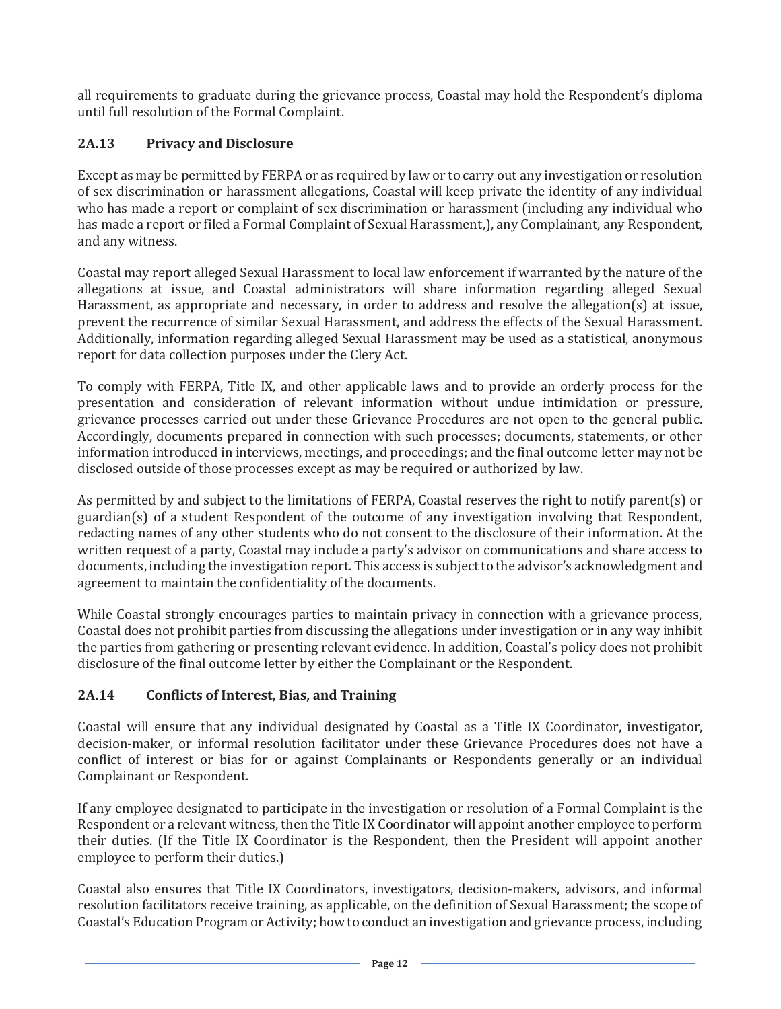all requirements to graduate during the grievance process, Coastal may hold the Respondent's diploma until full resolution of the Formal Complaint.

## **2A.13 Privacy and Disclosure**

Except as may be permitted by FERPA or as required by law or to carry out any investigation or resolution of sex discrimination or harassment allegations, Coastal will keep private the identity of any individual who has made a report or complaint of sex discrimination or harassment (including any individual who has made a report or filed a Formal Complaint of Sexual Harassment,), any Complainant, any Respondent, and any witness.

Coastal may report alleged Sexual Harassment to local law enforcement if warranted by the nature of the allegations at issue, and Coastal administrators will share information regarding alleged Sexual Harassment, as appropriate and necessary, in order to address and resolve the allegation(s) at issue, prevent the recurrence of similar Sexual Harassment, and address the effects of the Sexual Harassment. Additionally, information regarding alleged Sexual Harassment may be used as a statistical, anonymous report for data collection purposes under the Clery Act.

To comply with FERPA, Title IX, and other applicable laws and to provide an orderly process for the presentation and consideration of relevant information without undue intimidation or pressure, grievance processes carried out under these Grievance Procedures are not open to the general public. Accordingly, documents prepared in connection with such processes; documents, statements, or other information introduced in interviews, meetings, and proceedings; and the final outcome letter may not be disclosed outside of those processes except as may be required or authorized by law.

As permitted by and subject to the limitations of FERPA, Coastal reserves the right to notify parent(s) or guardian(s) of a student Respondent of the outcome of any investigation involving that Respondent, redacting names of any other students who do not consent to the disclosure of their information. At the written request of a party, Coastal may include a party's advisor on communications and share access to documents, including the investigation report. This access is subject to the advisor's acknowledgment and agreement to maintain the confidentiality of the documents.

While Coastal strongly encourages parties to maintain privacy in connection with a grievance process, Coastal does not prohibit parties from discussing the allegations under investigation or in any way inhibit the parties from gathering or presenting relevant evidence. In addition, Coastal's policy does not prohibit disclosure of the final outcome letter by either the Complainant or the Respondent.

## **2A.14 Conflicts of Interest, Bias, and Training**

Coastal will ensure that any individual designated by Coastal as a Title IX Coordinator, investigator, decision-maker, or informal resolution facilitator under these Grievance Procedures does not have a conflict of interest or bias for or against Complainants or Respondents generally or an individual Complainant or Respondent.

If any employee designated to participate in the investigation or resolution of a Formal Complaint is the Respondent or a relevant witness, then the Title IX Coordinator will appoint another employee to perform their duties. (If the Title IX Coordinator is the Respondent, then the President will appoint another employee to perform their duties.)

Coastal also ensures that Title IX Coordinators, investigators, decision-makers, advisors, and informal resolution facilitators receive training, as applicable, on the definition of Sexual Harassment; the scope of Coastal's Education Program or Activity; how to conduct an investigation and grievance process, including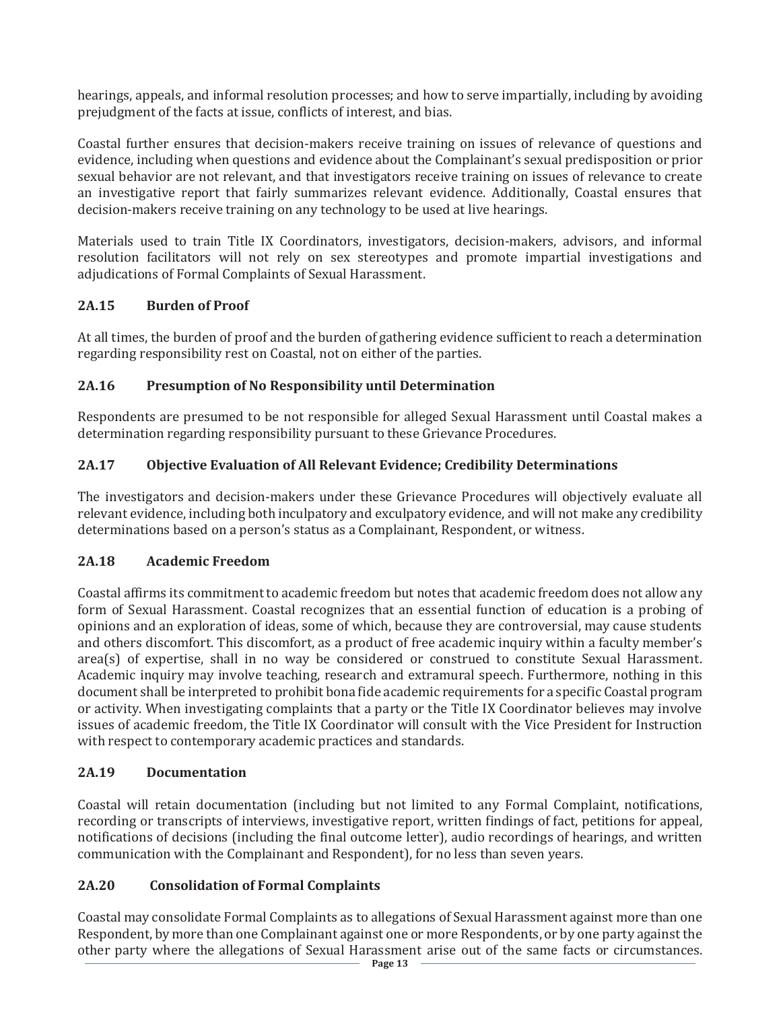hearings, appeals, and informal resolution processes; and how to serve impartially, including by avoiding prejudgment of the facts at issue, conflicts of interest, and bias.

Coastal further ensures that decision-makers receive training on issues of relevance of questions and evidence, including when questions and evidence about the Complainant's sexual predisposition or prior sexual behavior are not relevant, and that investigators receive training on issues of relevance to create an investigative report that fairly summarizes relevant evidence. Additionally, Coastal ensures that decision-makers receive training on any technology to be used at live hearings.

Materials used to train Title IX Coordinators, investigators, decision-makers, advisors, and informal resolution facilitators will not rely on sex stereotypes and promote impartial investigations and adjudications of Formal Complaints of Sexual Harassment.

## **2A.15 Burden of Proof**

At all times, the burden of proof and the burden of gathering evidence sufficient to reach a determination regarding responsibility rest on Coastal, not on either of the parties.

## **2A.16 Presumption of No Responsibility until Determination**

Respondents are presumed to be not responsible for alleged Sexual Harassment until Coastal makes a determination regarding responsibility pursuant to these Grievance Procedures.

## **2A.17 Objective Evaluation of All Relevant Evidence; Credibility Determinations**

The investigators and decision-makers under these Grievance Procedures will objectively evaluate all relevant evidence, including both inculpatory and exculpatory evidence, and will not make any credibility determinations based on a person's status as a Complainant, Respondent, or witness.

## **2A.18 Academic Freedom**

Coastal affirms its commitment to academic freedom but notes that academic freedom does not allow any form of Sexual Harassment. Coastal recognizes that an essential function of education is a probing of opinions and an exploration of ideas, some of which, because they are controversial, may cause students and others discomfort. This discomfort, as a product of free academic inquiry within a faculty member's area(s) of expertise, shall in no way be considered or construed to constitute Sexual Harassment. Academic inquiry may involve teaching, research and extramural speech. Furthermore, nothing in this document shall be interpreted to prohibit bona fide academic requirements for a specific Coastal program or activity. When investigating complaints that a party or the Title IX Coordinator believes may involve issues of academic freedom, the Title IX Coordinator will consult with the Vice President for Instruction with respect to contemporary academic practices and standards.

## **2A.19 Documentation**

Coastal will retain documentation (including but not limited to any Formal Complaint, notifications, recording or transcripts of interviews, investigative report, written findings of fact, petitions for appeal, notifications of decisions (including the final outcome letter), audio recordings of hearings, and written communication with the Complainant and Respondent), for no less than seven years.

## **2A.20 Consolidation of Formal Complaints**

Coastal may consolidate Formal Complaints as to allegations of Sexual Harassment against more than one Respondent, by more than one Complainant against one or more Respondents, or by one party against the other party where the allegations of Sexual Harassment arise out of the same facts or circumstances.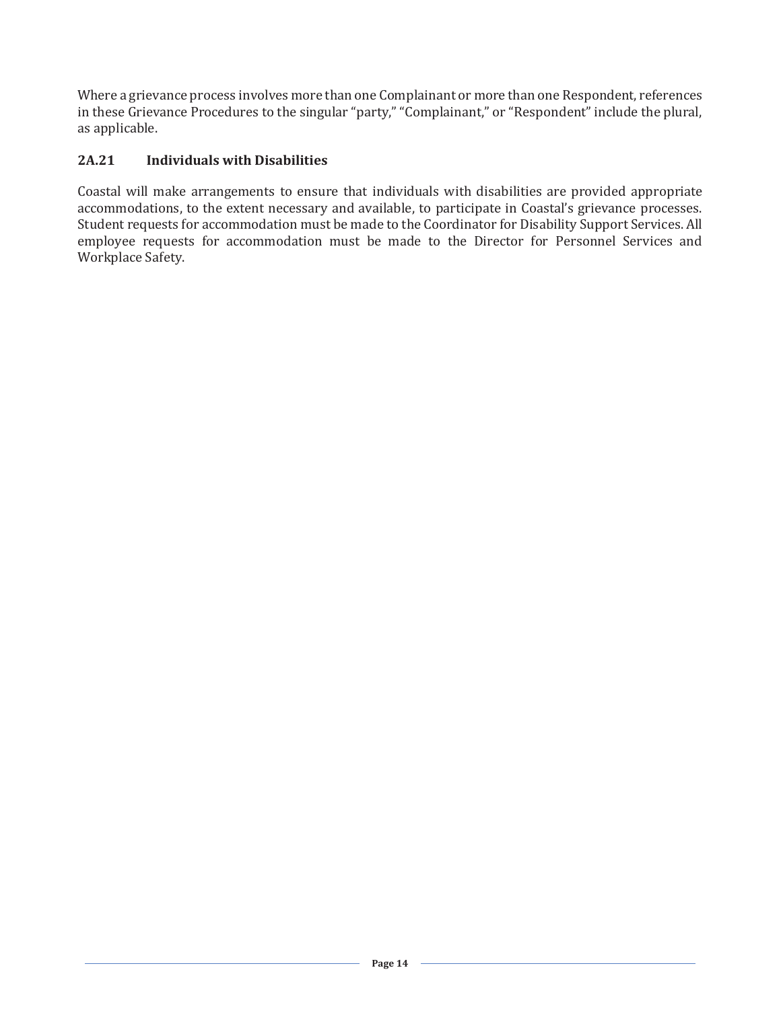Where a grievance process involves more than one Complainant or more than one Respondent, references in these Grievance Procedures to the singular "party," "Complainant," or "Respondent" include the plural, as applicable.

## **2A.21 Individuals with Disabilities**

Coastal will make arrangements to ensure that individuals with disabilities are provided appropriate accommodations, to the extent necessary and available, to participate in Coastal's grievance processes. Student requests for accommodation must be made to the Coordinator for Disability Support Services. All employee requests for accommodation must be made to the Director for Personnel Services and Workplace Safety.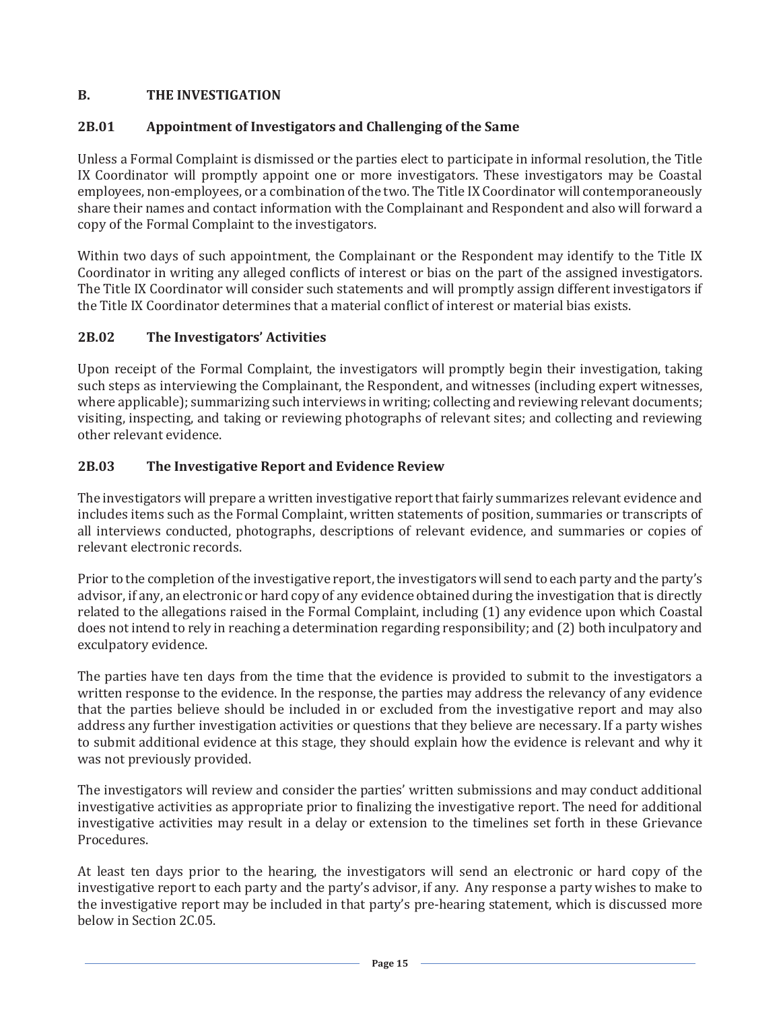## **B. THE INVESTIGATION**

## **2B.01 Appointment of Investigators and Challenging of the Same**

Unless a Formal Complaint is dismissed or the parties elect to participate in informal resolution, the Title IX Coordinator will promptly appoint one or more investigators. These investigators may be Coastal employees, non-employees, or a combination of the two. The Title IX Coordinator will contemporaneously share their names and contact information with the Complainant and Respondent and also will forward a copy of the Formal Complaint to the investigators.

Within two days of such appointment, the Complainant or the Respondent may identify to the Title IX Coordinator in writing any alleged conflicts of interest or bias on the part of the assigned investigators. The Title IX Coordinator will consider such statements and will promptly assign different investigators if the Title IX Coordinator determines that a material conflict of interest or material bias exists.

## **2B.02 The Investigators' Activities**

Upon receipt of the Formal Complaint, the investigators will promptly begin their investigation, taking such steps as interviewing the Complainant, the Respondent, and witnesses (including expert witnesses, where applicable); summarizing such interviews in writing; collecting and reviewing relevant documents; visiting, inspecting, and taking or reviewing photographs of relevant sites; and collecting and reviewing other relevant evidence.

## **2B.03 The Investigative Report and Evidence Review**

The investigators will prepare a written investigative report that fairly summarizes relevant evidence and includes items such as the Formal Complaint, written statements of position, summaries or transcripts of all interviews conducted, photographs, descriptions of relevant evidence, and summaries or copies of relevant electronic records.

Prior to the completion of the investigative report, the investigators will send to each party and the party's advisor, if any, an electronic or hard copy of any evidence obtained during the investigation that is directly related to the allegations raised in the Formal Complaint, including (1) any evidence upon which Coastal does not intend to rely in reaching a determination regarding responsibility; and (2) both inculpatory and exculpatory evidence.

The parties have ten days from the time that the evidence is provided to submit to the investigators a written response to the evidence. In the response, the parties may address the relevancy of any evidence that the parties believe should be included in or excluded from the investigative report and may also address any further investigation activities or questions that they believe are necessary. If a party wishes to submit additional evidence at this stage, they should explain how the evidence is relevant and why it was not previously provided.

The investigators will review and consider the parties' written submissions and may conduct additional investigative activities as appropriate prior to finalizing the investigative report. The need for additional investigative activities may result in a delay or extension to the timelines set forth in these Grievance Procedures.

At least ten days prior to the hearing, the investigators will send an electronic or hard copy of the investigative report to each party and the party's advisor, if any. Any response a party wishes to make to the investigative report may be included in that party's pre-hearing statement, which is discussed more below in Section 2C.05.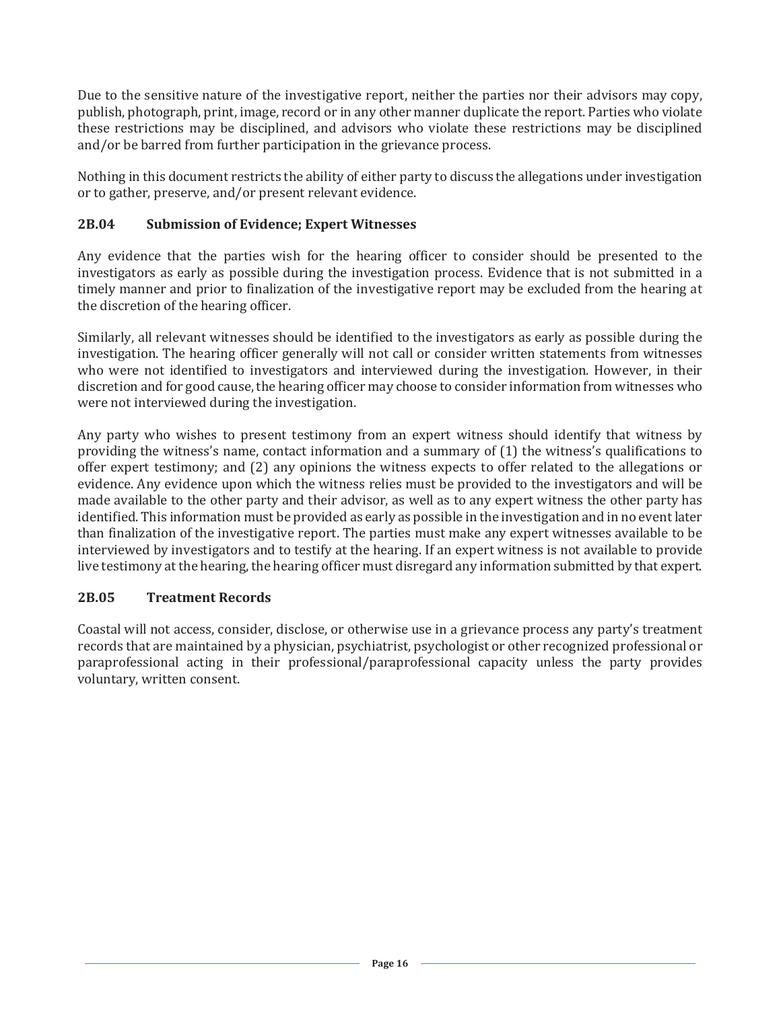Due to the sensitive nature of the investigative report, neither the parties nor their advisors may copy, publish, photograph, print, image, record or in any other manner duplicate the report. Parties who violate these restrictions may be disciplined, and advisors who violate these restrictions may be disciplined and/or be barred from further participation in the grievance process.

Nothing in this document restricts the ability of either party to discuss the allegations under investigation or to gather, preserve, and/or present relevant evidence.

### **2B.04 Submission of Evidence; Expert Witnesses**

Any evidence that the parties wish for the hearing officer to consider should be presented to the investigators as early as possible during the investigation process. Evidence that is not submitted in a timely manner and prior to finalization of the investigative report may be excluded from the hearing at the discretion of the hearing officer.

Similarly, all relevant witnesses should be identified to the investigators as early as possible during the investigation. The hearing officer generally will not call or consider written statements from witnesses who were not identified to investigators and interviewed during the investigation. However, in their discretion and for good cause, the hearing officer may choose to consider information from witnesses who were not interviewed during the investigation.

Any party who wishes to present testimony from an expert witness should identify that witness by providing the witness's name, contact information and a summary of (1) the witness's qualifications to offer expert testimony; and (2) any opinions the witness expects to offer related to the allegations or evidence. Any evidence upon which the witness relies must be provided to the investigators and will be made available to the other party and their advisor, as well as to any expert witness the other party has identified. This information must be provided as early as possible in the investigation and in no event later than finalization of the investigative report. The parties must make any expert witnesses available to be interviewed by investigators and to testify at the hearing. If an expert witness is not available to provide live testimony at the hearing, the hearing officer must disregard any information submitted by that expert.

#### **2B.05 Treatment Records**

Coastal will not access, consider, disclose, or otherwise use in a grievance process any party's treatment records that are maintained by a physician, psychiatrist, psychologist or other recognized professional or paraprofessional acting in their professional/paraprofessional capacity unless the party provides voluntary, written consent.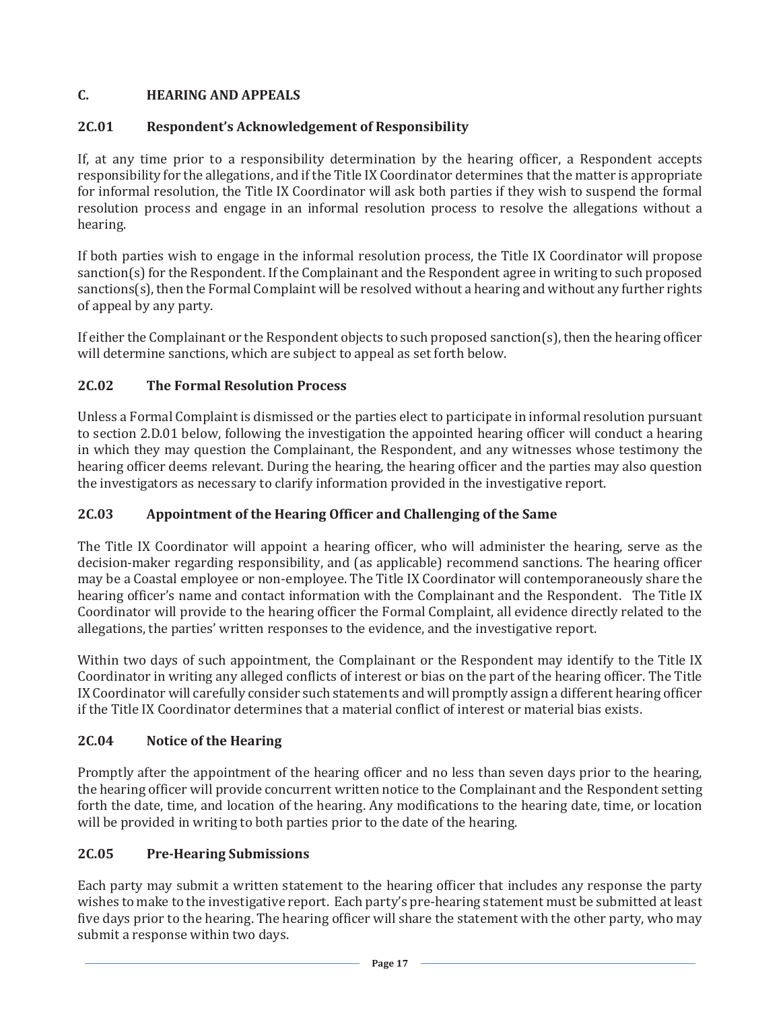## **C. HEARING AND APPEALS**

## **2C.01 Respondent's Acknowledgement of Responsibility**

If, at any time prior to a responsibility determination by the hearing officer, a Respondent accepts responsibility for the allegations, and if the Title IX Coordinator determines that the matter is appropriate for informal resolution, the Title IX Coordinator will ask both parties if they wish to suspend the formal resolution process and engage in an informal resolution process to resolve the allegations without a hearing.

If both parties wish to engage in the informal resolution process, the Title IX Coordinator will propose sanction(s) for the Respondent. If the Complainant and the Respondent agree in writing to such proposed sanctions(s), then the Formal Complaint will be resolved without a hearing and without any further rights of appeal by any party.

If either the Complainant or the Respondent objects to such proposed sanction(s), then the hearing officer will determine sanctions, which are subject to appeal as set forth below.

## **2C.02 The Formal Resolution Process**

Unless a Formal Complaint is dismissed or the parties elect to participate in informal resolution pursuant to section 2.D.01 below, following the investigation the appointed hearing officer will conduct a hearing in which they may question the Complainant, the Respondent, and any witnesses whose testimony the hearing officer deems relevant. During the hearing, the hearing officer and the parties may also question the investigators as necessary to clarify information provided in the investigative report.

## **2C.03 Appointment of the Hearing Officer and Challenging of the Same**

The Title IX Coordinator will appoint a hearing officer, who will administer the hearing, serve as the decision-maker regarding responsibility, and (as applicable) recommend sanctions. The hearing officer may be a Coastal employee or non-employee. The Title IX Coordinator will contemporaneously share the hearing officer's name and contact information with the Complainant and the Respondent. The Title IX Coordinator will provide to the hearing officer the Formal Complaint, all evidence directly related to the allegations, the parties' written responses to the evidence, and the investigative report.

Within two days of such appointment, the Complainant or the Respondent may identify to the Title IX Coordinator in writing any alleged conflicts of interest or bias on the part of the hearing officer. The Title IX Coordinator will carefully consider such statements and will promptly assign a different hearing officer if the Title IX Coordinator determines that a material conflict of interest or material bias exists.

## **2C.04 Notice of the Hearing**

Promptly after the appointment of the hearing officer and no less than seven days prior to the hearing, the hearing officer will provide concurrent written notice to the Complainant and the Respondent setting forth the date, time, and location of the hearing. Any modifications to the hearing date, time, or location will be provided in writing to both parties prior to the date of the hearing.

## **2C.05 Pre-Hearing Submissions**

Each party may submit a written statement to the hearing officer that includes any response the party wishes to make to the investigative report. Each party's pre-hearing statement must be submitted at least five days prior to the hearing. The hearing officer will share the statement with the other party, who may submit a response within two days.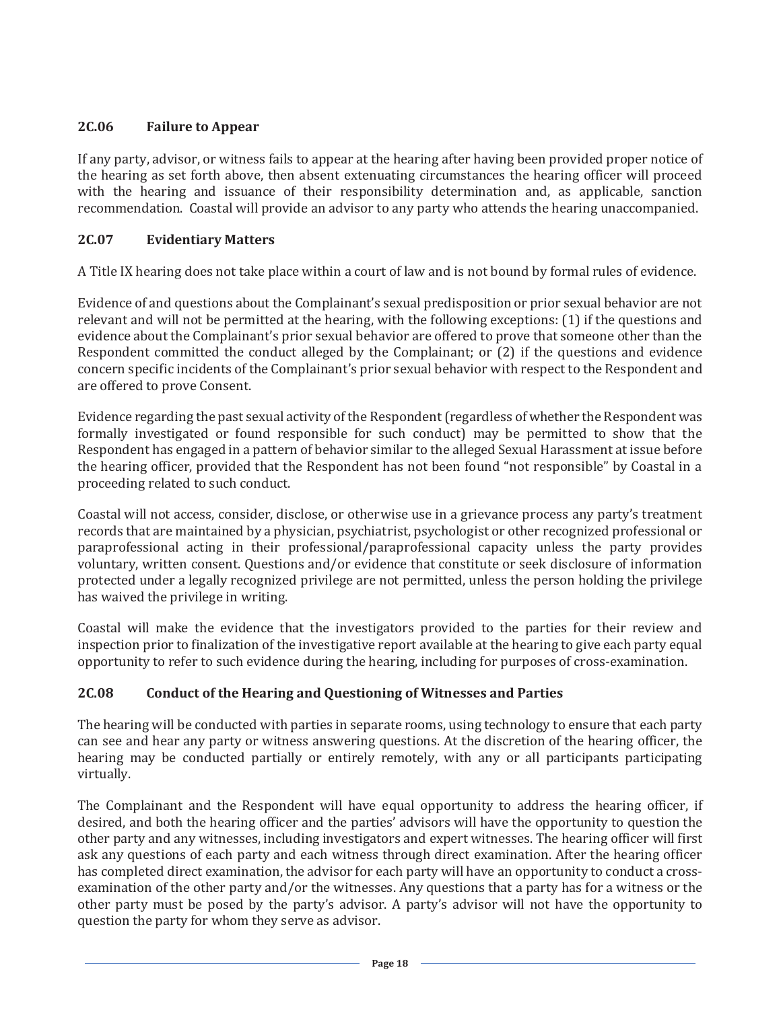### **2C.06 Failure to Appear**

If any party, advisor, or witness fails to appear at the hearing after having been provided proper notice of the hearing as set forth above, then absent extenuating circumstances the hearing officer will proceed with the hearing and issuance of their responsibility determination and, as applicable, sanction recommendation. Coastal will provide an advisor to any party who attends the hearing unaccompanied.

#### **2C.07 Evidentiary Matters**

A Title IX hearing does not take place within a court of law and is not bound by formal rules of evidence.

Evidence of and questions about the Complainant's sexual predisposition or prior sexual behavior are not relevant and will not be permitted at the hearing, with the following exceptions: (1) if the questions and evidence about the Complainant's prior sexual behavior are offered to prove that someone other than the Respondent committed the conduct alleged by the Complainant; or (2) if the questions and evidence concern specific incidents of the Complainant's prior sexual behavior with respect to the Respondent and are offered to prove Consent.

Evidence regarding the past sexual activity of the Respondent (regardless of whether the Respondent was formally investigated or found responsible for such conduct) may be permitted to show that the Respondent has engaged in a pattern of behavior similar to the alleged Sexual Harassment at issue before the hearing officer, provided that the Respondent has not been found "not responsible" by Coastal in a proceeding related to such conduct.

Coastal will not access, consider, disclose, or otherwise use in a grievance process any party's treatment records that are maintained by a physician, psychiatrist, psychologist or other recognized professional or paraprofessional acting in their professional/paraprofessional capacity unless the party provides voluntary, written consent. Questions and/or evidence that constitute or seek disclosure of information protected under a legally recognized privilege are not permitted, unless the person holding the privilege has waived the privilege in writing.

Coastal will make the evidence that the investigators provided to the parties for their review and inspection prior to finalization of the investigative report available at the hearing to give each party equal opportunity to refer to such evidence during the hearing, including for purposes of cross-examination.

## **2C.08 Conduct of the Hearing and Questioning of Witnesses and Parties**

The hearing will be conducted with parties in separate rooms, using technology to ensure that each party can see and hear any party or witness answering questions. At the discretion of the hearing officer, the hearing may be conducted partially or entirely remotely, with any or all participants participating virtually.

The Complainant and the Respondent will have equal opportunity to address the hearing officer, if desired, and both the hearing officer and the parties' advisors will have the opportunity to question the other party and any witnesses, including investigators and expert witnesses. The hearing officer will first ask any questions of each party and each witness through direct examination. After the hearing officer has completed direct examination, the advisor for each party will have an opportunity to conduct a crossexamination of the other party and/or the witnesses. Any questions that a party has for a witness or the other party must be posed by the party's advisor. A party's advisor will not have the opportunity to question the party for whom they serve as advisor.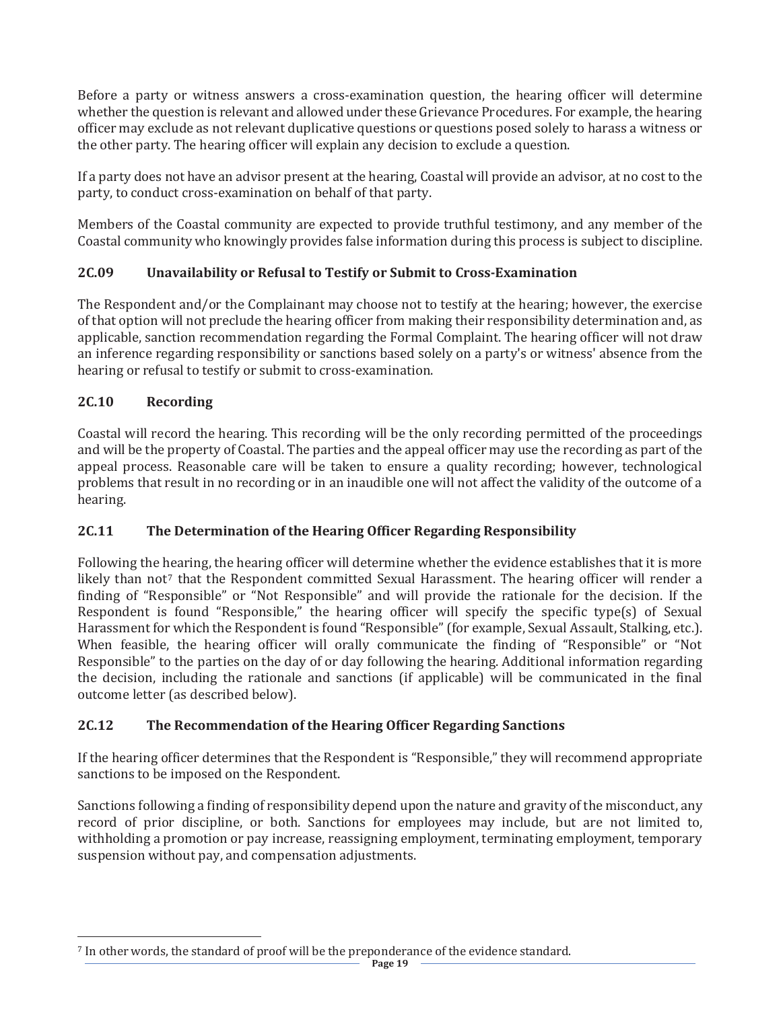Before a party or witness answers a cross-examination question, the hearing officer will determine whether the question is relevant and allowed under these Grievance Procedures. For example, the hearing officer may exclude as not relevant duplicative questions or questions posed solely to harass a witness or the other party. The hearing officer will explain any decision to exclude a question.

If a party does not have an advisor present at the hearing, Coastal will provide an advisor, at no cost to the party, to conduct cross-examination on behalf of that party.

Members of the Coastal community are expected to provide truthful testimony, and any member of the Coastal community who knowingly provides false information during this process is subject to discipline.

## **2C.09 Unavailability or Refusal to Testify or Submit to Cross-Examination**

The Respondent and/or the Complainant may choose not to testify at the hearing; however, the exercise of that option will not preclude the hearing officer from making their responsibility determination and, as applicable, sanction recommendation regarding the Formal Complaint. The hearing officer will not draw an inference regarding responsibility or sanctions based solely on a party's or witness' absence from the hearing or refusal to testify or submit to cross-examination.

## **2C.10 Recording**

 $\overline{a}$ 

Coastal will record the hearing. This recording will be the only recording permitted of the proceedings and will be the property of Coastal. The parties and the appeal officer may use the recording as part of the appeal process. Reasonable care will be taken to ensure a quality recording; however, technological problems that result in no recording or in an inaudible one will not affect the validity of the outcome of a hearing.

## **2C.11 The Determination of the Hearing Officer Regarding Responsibility**

Following the hearing, the hearing officer will determine whether the evidence establishes that it is more likely than not<sup>7</sup> that the Respondent committed Sexual Harassment. The hearing officer will render a finding of "Responsible" or "Not Responsible" and will provide the rationale for the decision. If the Respondent is found "Responsible," the hearing officer will specify the specific type(s) of Sexual Harassment for which the Respondent is found "Responsible" (for example, Sexual Assault, Stalking, etc.). When feasible, the hearing officer will orally communicate the finding of "Responsible" or "Not Responsible" to the parties on the day of or day following the hearing. Additional information regarding the decision, including the rationale and sanctions (if applicable) will be communicated in the final outcome letter (as described below).

## **2C.12 The Recommendation of the Hearing Officer Regarding Sanctions**

If the hearing officer determines that the Respondent is "Responsible," they will recommend appropriate sanctions to be imposed on the Respondent.

Sanctions following a finding of responsibility depend upon the nature and gravity of the misconduct, any record of prior discipline, or both. Sanctions for employees may include, but are not limited to, withholding a promotion or pay increase, reassigning employment, terminating employment, temporary suspension without pay, and compensation adjustments.

<sup>7</sup> In other words, the standard of proof will be the preponderance of the evidence standard.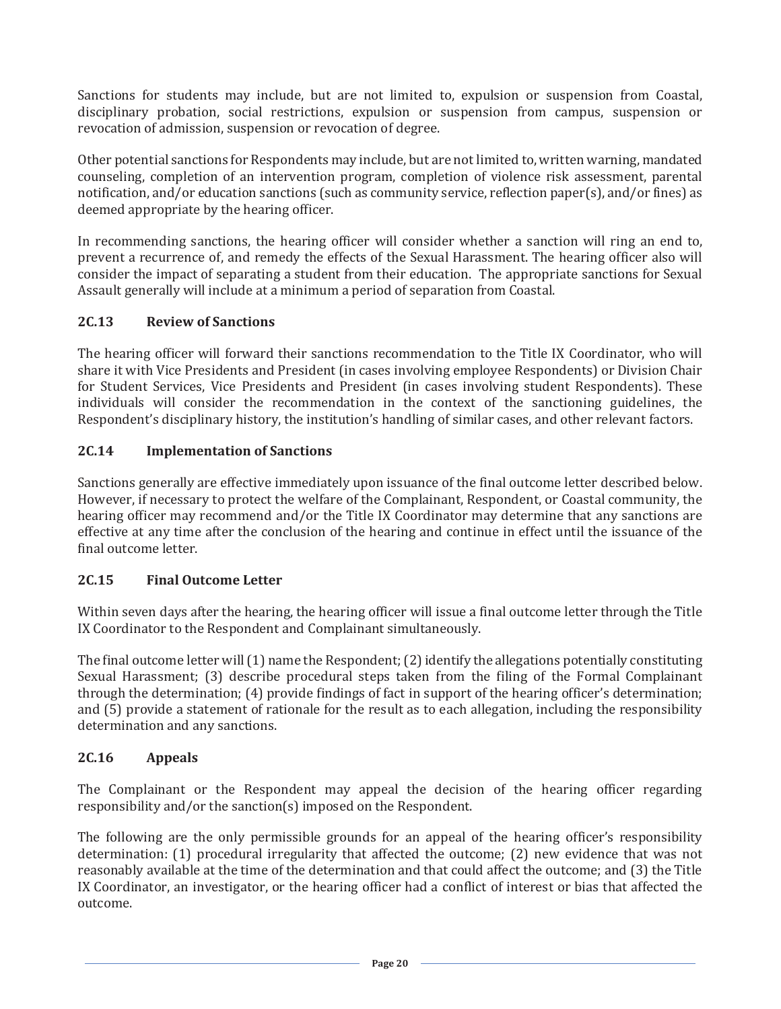Sanctions for students may include, but are not limited to, expulsion or suspension from Coastal, disciplinary probation, social restrictions, expulsion or suspension from campus, suspension or revocation of admission, suspension or revocation of degree.

Other potential sanctions for Respondents may include, but are not limited to, written warning, mandated counseling, completion of an intervention program, completion of violence risk assessment, parental notification, and/or education sanctions (such as community service, reflection paper(s), and/or fines) as deemed appropriate by the hearing officer.

In recommending sanctions, the hearing officer will consider whether a sanction will ring an end to, prevent a recurrence of, and remedy the effects of the Sexual Harassment. The hearing officer also will consider the impact of separating a student from their education. The appropriate sanctions for Sexual Assault generally will include at a minimum a period of separation from Coastal.

## **2C.13 Review of Sanctions**

The hearing officer will forward their sanctions recommendation to the Title IX Coordinator, who will share it with Vice Presidents and President (in cases involving employee Respondents) or Division Chair for Student Services, Vice Presidents and President (in cases involving student Respondents). These individuals will consider the recommendation in the context of the sanctioning guidelines, the Respondent's disciplinary history, the institution's handling of similar cases, and other relevant factors.

#### **2C.14 Implementation of Sanctions**

Sanctions generally are effective immediately upon issuance of the final outcome letter described below. However, if necessary to protect the welfare of the Complainant, Respondent, or Coastal community, the hearing officer may recommend and/or the Title IX Coordinator may determine that any sanctions are effective at any time after the conclusion of the hearing and continue in effect until the issuance of the final outcome letter.

#### **2C.15 Final Outcome Letter**

Within seven days after the hearing, the hearing officer will issue a final outcome letter through the Title IX Coordinator to the Respondent and Complainant simultaneously.

The final outcome letter will (1) name the Respondent; (2) identify the allegations potentially constituting Sexual Harassment; (3) describe procedural steps taken from the filing of the Formal Complainant through the determination; (4) provide findings of fact in support of the hearing officer's determination; and (5) provide a statement of rationale for the result as to each allegation, including the responsibility determination and any sanctions.

#### **2C.16 Appeals**

The Complainant or the Respondent may appeal the decision of the hearing officer regarding responsibility and/or the sanction(s) imposed on the Respondent.

The following are the only permissible grounds for an appeal of the hearing officer's responsibility determination: (1) procedural irregularity that affected the outcome; (2) new evidence that was not reasonably available at the time of the determination and that could affect the outcome; and (3) the Title IX Coordinator, an investigator, or the hearing officer had a conflict of interest or bias that affected the outcome.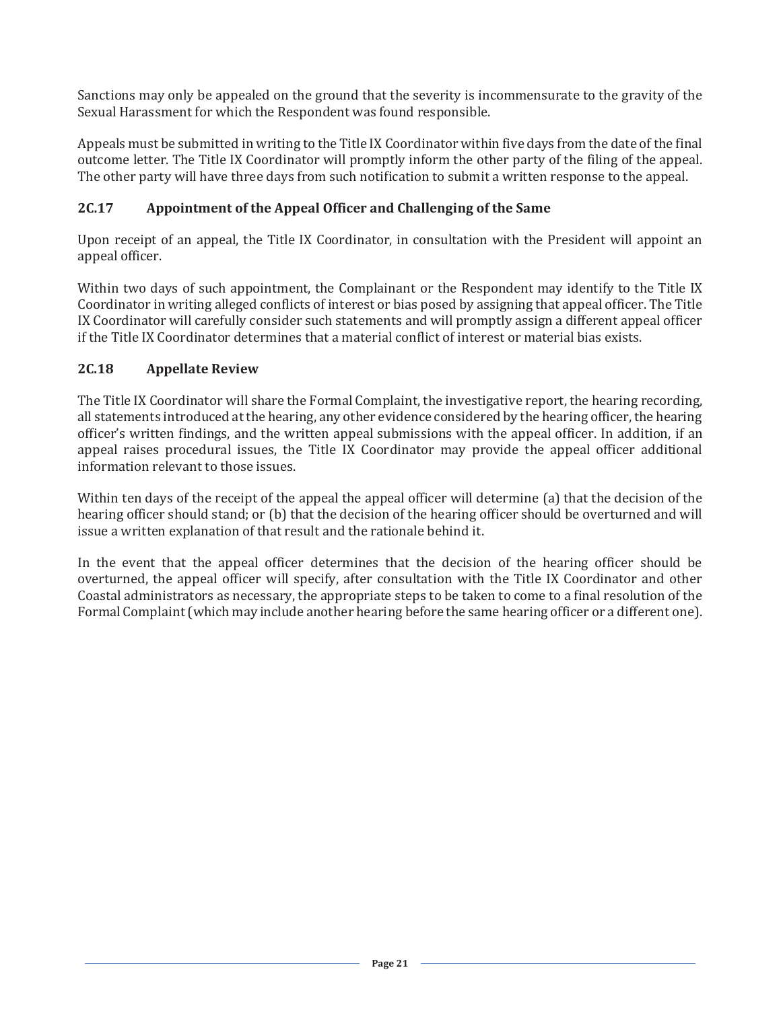Sanctions may only be appealed on the ground that the severity is incommensurate to the gravity of the Sexual Harassment for which the Respondent was found responsible.

Appeals must be submitted in writing to the Title IX Coordinator within five days from the date of the final outcome letter. The Title IX Coordinator will promptly inform the other party of the filing of the appeal. The other party will have three days from such notification to submit a written response to the appeal.

### **2C.17 Appointment of the Appeal Officer and Challenging of the Same**

Upon receipt of an appeal, the Title IX Coordinator, in consultation with the President will appoint an appeal officer.

Within two days of such appointment, the Complainant or the Respondent may identify to the Title IX Coordinator in writing alleged conflicts of interest or bias posed by assigning that appeal officer. The Title IX Coordinator will carefully consider such statements and will promptly assign a different appeal officer if the Title IX Coordinator determines that a material conflict of interest or material bias exists.

#### **2C.18 Appellate Review**

The Title IX Coordinator will share the Formal Complaint, the investigative report, the hearing recording, all statements introduced at the hearing, any other evidence considered by the hearing officer, the hearing officer's written findings, and the written appeal submissions with the appeal officer. In addition, if an appeal raises procedural issues, the Title IX Coordinator may provide the appeal officer additional information relevant to those issues.

Within ten days of the receipt of the appeal the appeal officer will determine (a) that the decision of the hearing officer should stand; or (b) that the decision of the hearing officer should be overturned and will issue a written explanation of that result and the rationale behind it.

In the event that the appeal officer determines that the decision of the hearing officer should be overturned, the appeal officer will specify, after consultation with the Title IX Coordinator and other Coastal administrators as necessary, the appropriate steps to be taken to come to a final resolution of the Formal Complaint (which may include another hearing before the same hearing officer or a different one).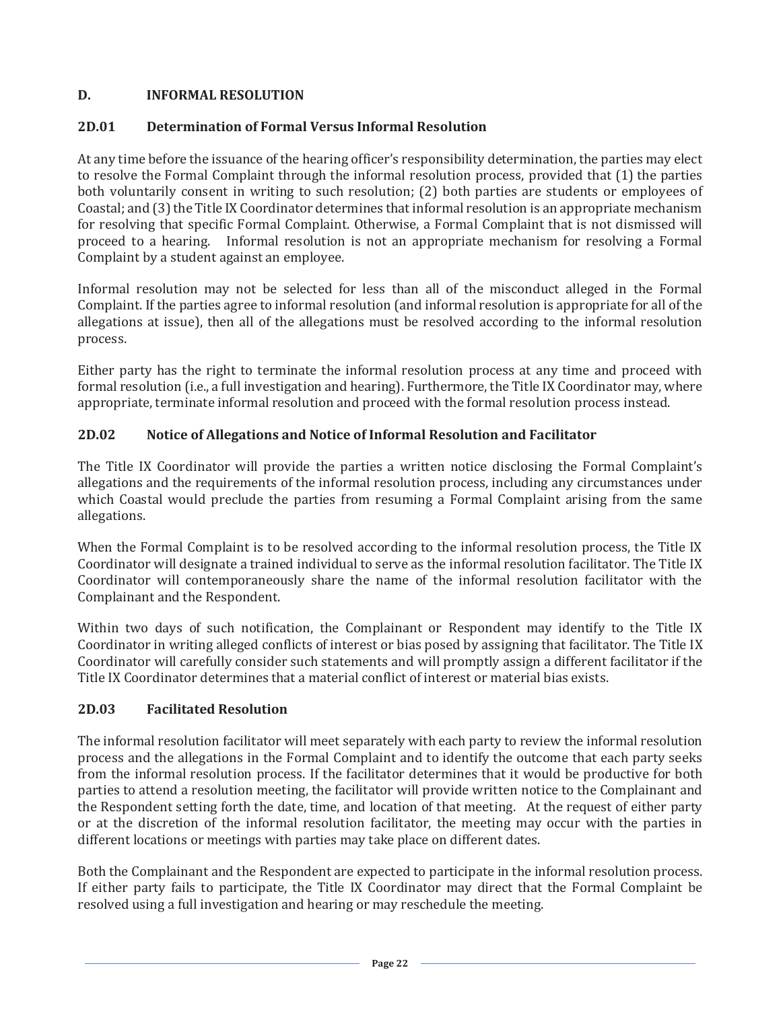## **D. INFORMAL RESOLUTION**

#### **2D.01 Determination of Formal Versus Informal Resolution**

At any time before the issuance of the hearing officer's responsibility determination, the parties may elect to resolve the Formal Complaint through the informal resolution process, provided that (1) the parties both voluntarily consent in writing to such resolution; (2) both parties are students or employees of Coastal; and (3) the Title IX Coordinator determines that informal resolution is an appropriate mechanism for resolving that specific Formal Complaint. Otherwise, a Formal Complaint that is not dismissed will proceed to a hearing. Informal resolution is not an appropriate mechanism for resolving a Formal Complaint by a student against an employee.

Informal resolution may not be selected for less than all of the misconduct alleged in the Formal Complaint. If the parties agree to informal resolution (and informal resolution is appropriate for all of the allegations at issue), then all of the allegations must be resolved according to the informal resolution process.

Either party has the right to terminate the informal resolution process at any time and proceed with formal resolution (i.e., a full investigation and hearing). Furthermore, the Title IX Coordinator may, where appropriate, terminate informal resolution and proceed with the formal resolution process instead.

### **2D.02 Notice of Allegations and Notice of Informal Resolution and Facilitator**

The Title IX Coordinator will provide the parties a written notice disclosing the Formal Complaint's allegations and the requirements of the informal resolution process, including any circumstances under which Coastal would preclude the parties from resuming a Formal Complaint arising from the same allegations.

When the Formal Complaint is to be resolved according to the informal resolution process, the Title IX Coordinator will designate a trained individual to serve as the informal resolution facilitator. The Title IX Coordinator will contemporaneously share the name of the informal resolution facilitator with the Complainant and the Respondent.

Within two days of such notification, the Complainant or Respondent may identify to the Title IX Coordinator in writing alleged conflicts of interest or bias posed by assigning that facilitator. The Title IX Coordinator will carefully consider such statements and will promptly assign a different facilitator if the Title IX Coordinator determines that a material conflict of interest or material bias exists.

#### **2D.03 Facilitated Resolution**

The informal resolution facilitator will meet separately with each party to review the informal resolution process and the allegations in the Formal Complaint and to identify the outcome that each party seeks from the informal resolution process. If the facilitator determines that it would be productive for both parties to attend a resolution meeting, the facilitator will provide written notice to the Complainant and the Respondent setting forth the date, time, and location of that meeting. At the request of either party or at the discretion of the informal resolution facilitator, the meeting may occur with the parties in different locations or meetings with parties may take place on different dates.

Both the Complainant and the Respondent are expected to participate in the informal resolution process. If either party fails to participate, the Title IX Coordinator may direct that the Formal Complaint be resolved using a full investigation and hearing or may reschedule the meeting.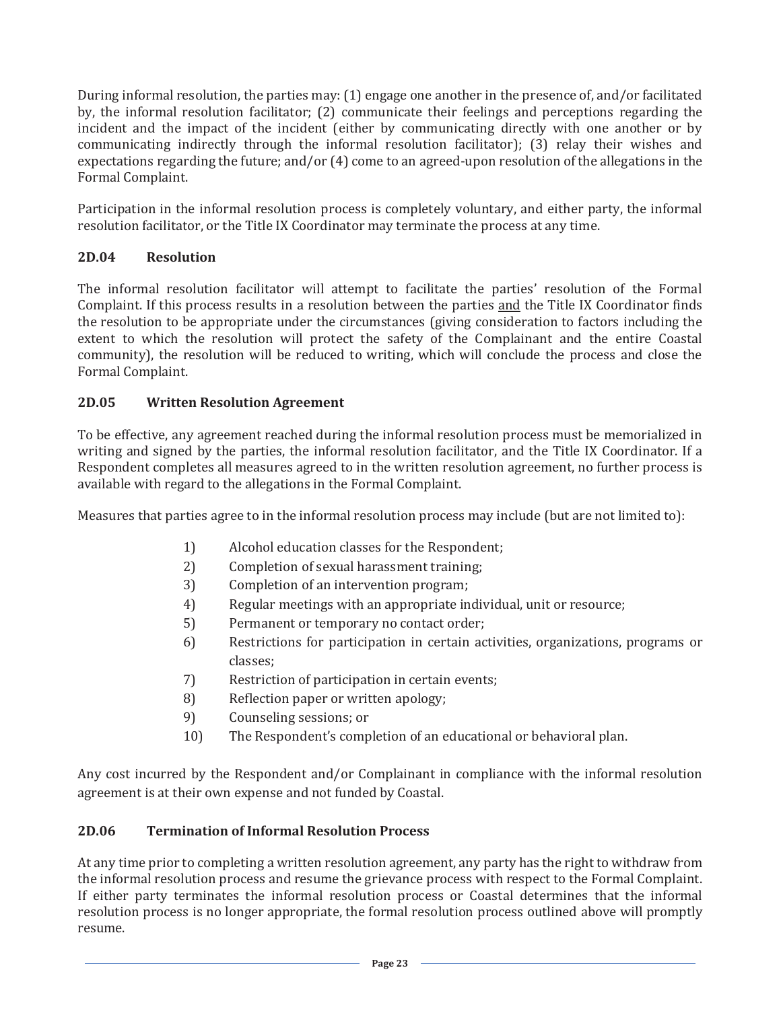During informal resolution, the parties may: (1) engage one another in the presence of, and/or facilitated by, the informal resolution facilitator; (2) communicate their feelings and perceptions regarding the incident and the impact of the incident (either by communicating directly with one another or by communicating indirectly through the informal resolution facilitator); (3) relay their wishes and expectations regarding the future; and/or (4) come to an agreed-upon resolution of the allegations in the Formal Complaint.

Participation in the informal resolution process is completely voluntary, and either party, the informal resolution facilitator, or the Title IX Coordinator may terminate the process at any time.

## **2D.04 Resolution**

The informal resolution facilitator will attempt to facilitate the parties' resolution of the Formal Complaint. If this process results in a resolution between the parties and the Title IX Coordinator finds the resolution to be appropriate under the circumstances (giving consideration to factors including the extent to which the resolution will protect the safety of the Complainant and the entire Coastal community), the resolution will be reduced to writing, which will conclude the process and close the Formal Complaint.

## **2D.05 Written Resolution Agreement**

To be effective, any agreement reached during the informal resolution process must be memorialized in writing and signed by the parties, the informal resolution facilitator, and the Title IX Coordinator. If a Respondent completes all measures agreed to in the written resolution agreement, no further process is available with regard to the allegations in the Formal Complaint.

Measures that parties agree to in the informal resolution process may include (but are not limited to):

- 1) Alcohol education classes for the Respondent;
- 2) Completion of sexual harassment training;
- 3) Completion of an intervention program;
- 4) Regular meetings with an appropriate individual, unit or resource;
- 5) Permanent or temporary no contact order;
- 6) Restrictions for participation in certain activities, organizations, programs or classes;
- 7) Restriction of participation in certain events;
- 8) Reflection paper or written apology;
- 9) Counseling sessions; or
- 10) The Respondent's completion of an educational or behavioral plan.

Any cost incurred by the Respondent and/or Complainant in compliance with the informal resolution agreement is at their own expense and not funded by Coastal.

## **2D.06 Termination of Informal Resolution Process**

At any time prior to completing a written resolution agreement, any party has the right to withdraw from the informal resolution process and resume the grievance process with respect to the Formal Complaint. If either party terminates the informal resolution process or Coastal determines that the informal resolution process is no longer appropriate, the formal resolution process outlined above will promptly resume.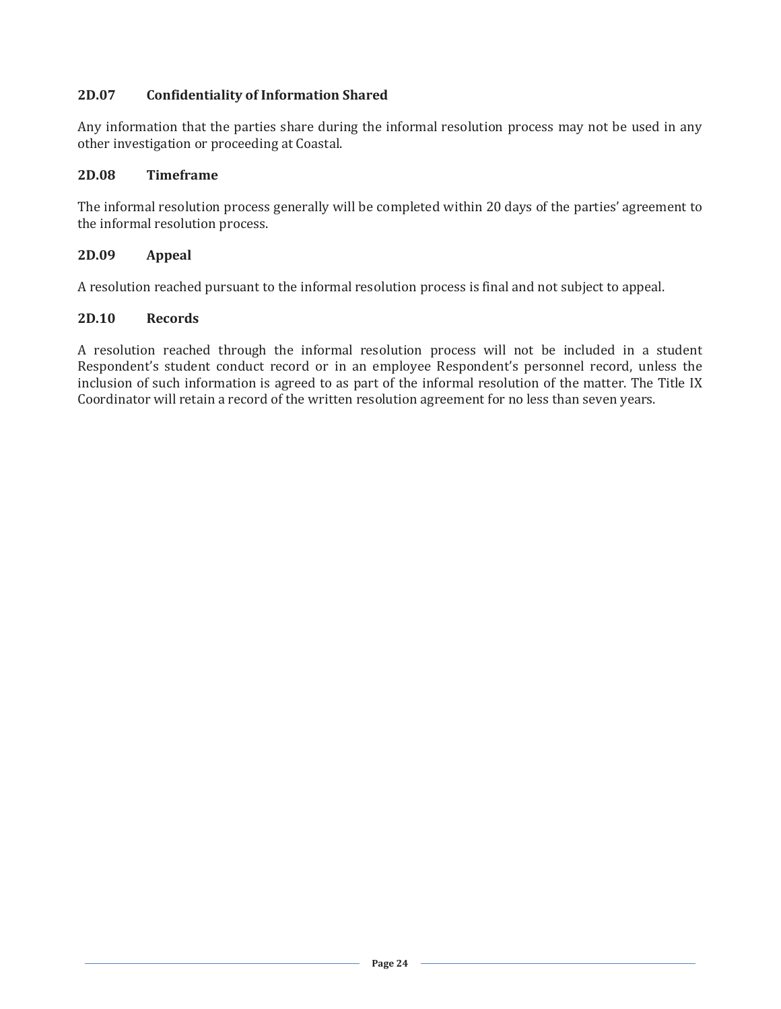### **2D.07 Confidentiality of Information Shared**

Any information that the parties share during the informal resolution process may not be used in any other investigation or proceeding at Coastal.

#### **2D.08 Timeframe**

The informal resolution process generally will be completed within 20 days of the parties' agreement to the informal resolution process.

#### **2D.09 Appeal**

A resolution reached pursuant to the informal resolution process is final and not subject to appeal.

#### **2D.10 Records**

A resolution reached through the informal resolution process will not be included in a student Respondent's student conduct record or in an employee Respondent's personnel record, unless the inclusion of such information is agreed to as part of the informal resolution of the matter. The Title IX Coordinator will retain a record of the written resolution agreement for no less than seven years.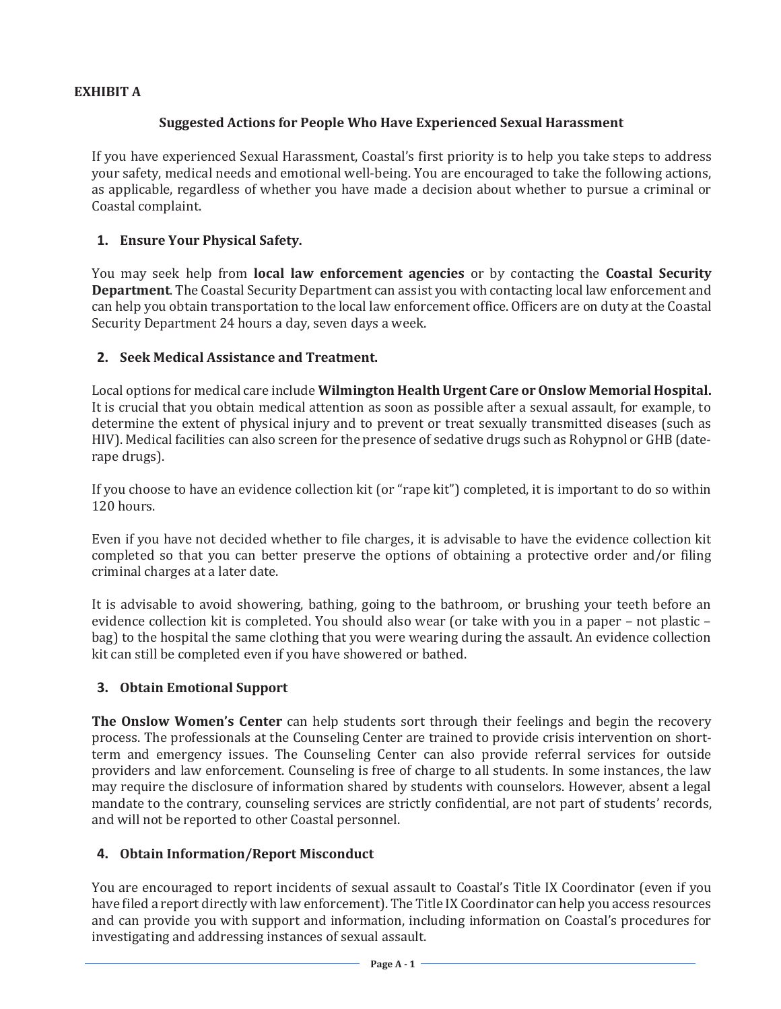### **EXHIBIT A**

#### **Suggested Actions for People Who Have Experienced Sexual Harassment**

If you have experienced Sexual Harassment, Coastal's first priority is to help you take steps to address your safety, medical needs and emotional well-being. You are encouraged to take the following actions, as applicable, regardless of whether you have made a decision about whether to pursue a criminal or Coastal complaint.

### **1. Ensure Your Physical Safety.**

You may seek help from **local law enforcement agencies** or by contacting the **Coastal Security Department**. The Coastal Security Department can assist you with contacting local law enforcement and can help you obtain transportation to the local law enforcement office. Officers are on duty at the Coastal Security Department 24 hours a day, seven days a week.

### **2. Seek Medical Assistance and Treatment.**

Local options for medical care include **Wilmington Health Urgent Care or Onslow Memorial Hospital.**  It is crucial that you obtain medical attention as soon as possible after a sexual assault, for example, to determine the extent of physical injury and to prevent or treat sexually transmitted diseases (such as HIV). Medical facilities can also screen for the presence of sedative drugs such as Rohypnol or GHB (daterape drugs).

If you choose to have an evidence collection kit (or "rape kit") completed, it is important to do so within 120 hours.

Even if you have not decided whether to file charges, it is advisable to have the evidence collection kit completed so that you can better preserve the options of obtaining a protective order and/or filing criminal charges at a later date.

It is advisable to avoid showering, bathing, going to the bathroom, or brushing your teeth before an evidence collection kit is completed. You should also wear (or take with you in a paper – not plastic – bag) to the hospital the same clothing that you were wearing during the assault. An evidence collection kit can still be completed even if you have showered or bathed.

#### **3. Obtain Emotional Support**

**The Onslow Women's Center** can help students sort through their feelings and begin the recovery process. The professionals at the Counseling Center are trained to provide crisis intervention on shortterm and emergency issues. The Counseling Center can also provide referral services for outside providers and law enforcement. Counseling is free of charge to all students. In some instances, the law may require the disclosure of information shared by students with counselors. However, absent a legal mandate to the contrary, counseling services are strictly confidential, are not part of students' records, and will not be reported to other Coastal personnel.

#### **4. Obtain Information/Report Misconduct**

You are encouraged to report incidents of sexual assault to Coastal's Title IX Coordinator (even if you have filed a report directly with law enforcement). The Title IX Coordinator can help you access resources and can provide you with support and information, including information on Coastal's procedures for investigating and addressing instances of sexual assault.